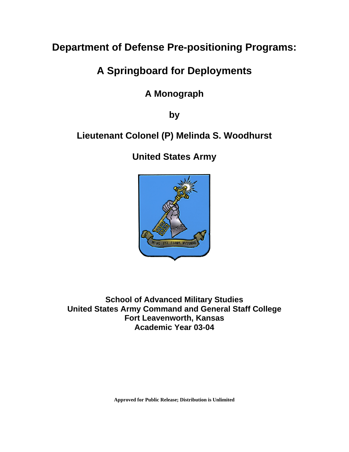# **Department of Defense Pre-positioning Programs:**

# **A Springboard for Deployments**

# **A Monograph**

**by** 

# **Lieutenant Colonel (P) Melinda S. Woodhurst**

**United States Army** 



**School of Advanced Military Studies United States Army Command and General Staff College Fort Leavenworth, Kansas Academic Year 03-04**

**Approved for Public Release; Distribution is Unlimited**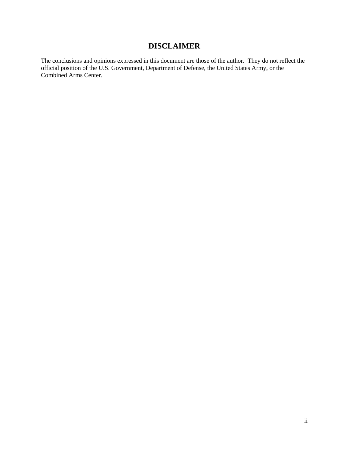# **DISCLAIMER**

<span id="page-1-0"></span>The conclusions and opinions expressed in this document are those of the author. They do not reflect the official position of the U.S. Government, Department of Defense, the United States Army, or the Combined Arms Center.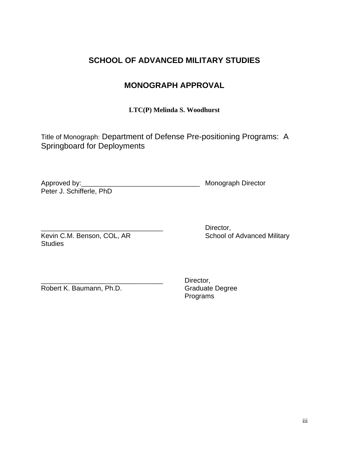# **SCHOOL OF ADVANCED MILITARY STUDIES**

# **MONOGRAPH APPROVAL**

**LTC(P) Melinda S. Woodhurst**

Title of Monograph: Department of Defense Pre-positioning Programs: A Springboard for Deployments

Approved by:\_\_\_\_\_\_\_\_\_\_\_\_\_\_\_\_\_\_\_\_\_\_\_\_\_\_\_\_\_\_\_\_\_\_ Monograph Director Peter J. Schifferle, PhD

Kevin C.M. Benson, COL, AR School of Advanced Military **Studies** 

Director,

Robert K. Baumann, Ph.D. Graduate Degree

Director, Programs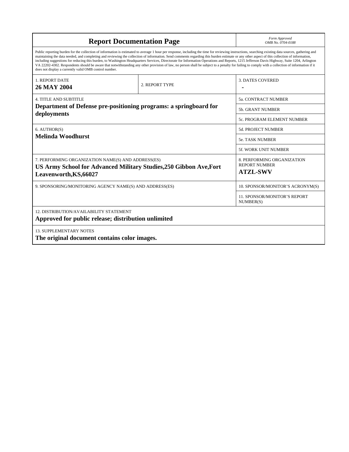| <b>Report Documentation Page</b>                                                                                                                                                                                                                                                                                                                                                                                                                                                                                                                                                                                                                                                                                                                                                                                                                                   | Form Approved<br>OMB No. 0704-0188                                    |                                           |  |
|--------------------------------------------------------------------------------------------------------------------------------------------------------------------------------------------------------------------------------------------------------------------------------------------------------------------------------------------------------------------------------------------------------------------------------------------------------------------------------------------------------------------------------------------------------------------------------------------------------------------------------------------------------------------------------------------------------------------------------------------------------------------------------------------------------------------------------------------------------------------|-----------------------------------------------------------------------|-------------------------------------------|--|
| Public reporting burden for the collection of information is estimated to average 1 hour per response, including the time for reviewing instructions, searching existing data sources, gathering and<br>maintaining the data needed, and completing and reviewing the collection of information. Send comments regarding this burden estimate or any other aspect of this collection of information,<br>including suggestions for reducing this burden, to Washington Headquarters Services, Directorate for Information Operations and Reports, 1215 Jefferson Davis Highway, Suite 1204, Arlington<br>VA 22202-4302. Respondents should be aware that notwithstanding any other provision of law, no person shall be subject to a penalty for failing to comply with a collection of information if it<br>does not display a currently valid OMB control number. |                                                                       |                                           |  |
| <b>1. REPORT DATE</b><br><b>26 MAY 2004</b>                                                                                                                                                                                                                                                                                                                                                                                                                                                                                                                                                                                                                                                                                                                                                                                                                        | 2. REPORT TYPE                                                        | <b>3. DATES COVERED</b>                   |  |
| <b>4. TITLE AND SUBTITLE</b>                                                                                                                                                                                                                                                                                                                                                                                                                                                                                                                                                                                                                                                                                                                                                                                                                                       |                                                                       | <b>5a. CONTRACT NUMBER</b>                |  |
| Department of Defense pre-positioning programs: a springboard for                                                                                                                                                                                                                                                                                                                                                                                                                                                                                                                                                                                                                                                                                                                                                                                                  | <b>5b. GRANT NUMBER</b>                                               |                                           |  |
| deployments                                                                                                                                                                                                                                                                                                                                                                                                                                                                                                                                                                                                                                                                                                                                                                                                                                                        |                                                                       | <b>5c. PROGRAM ELEMENT NUMBER</b>         |  |
| 6. AUTHOR(S)                                                                                                                                                                                                                                                                                                                                                                                                                                                                                                                                                                                                                                                                                                                                                                                                                                                       |                                                                       | 5d. PROJECT NUMBER                        |  |
| Melinda Woodhurst                                                                                                                                                                                                                                                                                                                                                                                                                                                                                                                                                                                                                                                                                                                                                                                                                                                  |                                                                       | <b>5e. TASK NUMBER</b>                    |  |
|                                                                                                                                                                                                                                                                                                                                                                                                                                                                                                                                                                                                                                                                                                                                                                                                                                                                    | 5f. WORK UNIT NUMBER                                                  |                                           |  |
| 7. PERFORMING ORGANIZATION NAME(S) AND ADDRESS(ES)<br>US Army School for Advanced Military Studies, 250 Gibbon Ave, Fort<br>Leavenworth, KS, 66027                                                                                                                                                                                                                                                                                                                                                                                                                                                                                                                                                                                                                                                                                                                 | 8. PERFORMING ORGANIZATION<br><b>REPORT NUMBER</b><br><b>ATZL-SWV</b> |                                           |  |
| 9. SPONSORING/MONITORING AGENCY NAME(S) AND ADDRESS(ES)                                                                                                                                                                                                                                                                                                                                                                                                                                                                                                                                                                                                                                                                                                                                                                                                            |                                                                       | 10. SPONSOR/MONITOR'S ACRONYM(S)          |  |
|                                                                                                                                                                                                                                                                                                                                                                                                                                                                                                                                                                                                                                                                                                                                                                                                                                                                    |                                                                       | 11. SPONSOR/MONITOR'S REPORT<br>NUMBER(S) |  |
| <b>12. DISTRIBUTION/AVAILABILITY STATEMENT</b><br>Approved for public release; distribution unlimited                                                                                                                                                                                                                                                                                                                                                                                                                                                                                                                                                                                                                                                                                                                                                              |                                                                       |                                           |  |
| <b>13. SUPPLEMENTARY NOTES</b><br>The original document contains color images.                                                                                                                                                                                                                                                                                                                                                                                                                                                                                                                                                                                                                                                                                                                                                                                     |                                                                       |                                           |  |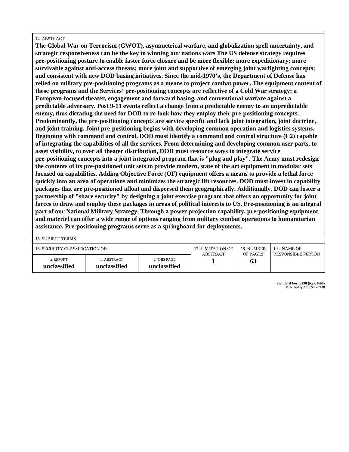#### 14. ABSTRACT

**The Global War on Terrorism (GWOT), asymmetrical warfare, and globalization spell uncertainty, and strategic responsiveness can be the key to winning our nations wars The US defense strategy requires pre-positioning posture to enable faster force closure and be more flexible; more expeditionary; more survivable against anti-access threats; more joint and supportive of emerging joint warfighting concepts; and consistent with new DOD basing initiatives. Since the mid-1970's, the Department of Defense has relied on military pre-positioning programs as a means to project combat power. The equipment content of these programs and the Services' pre-positioning concepts are reflective of a Cold War strategy: a European-focused theater, engagement and forward basing, and conventional warfare against a predictable adversary. Post 9-11 events reflect a change from a predictable enemy to an unpredictable enemy, thus dictating the need for DOD to re-look how they employ their pre-positioning concepts. Predominantly, the pre-positioning concepts are service specific and lack joint integration, joint doctrine, and joint training. Joint pre-positioning begins with developing common operation and logistics systems. Beginning with command and control, DOD must identify a command and control structure (C2) capable of integrating the capabilities of all the services. From determining and developing common user parts, to asset visibility, to over all theater distribution, DOD must resource ways to integrate service pre-positioning concepts into a joint integrated program that is "plug and play". The Army must redesign the contents of its pre-positioned unit sets to provide modern, state of the art equipment in modular sets focused on capabilities. Adding Objective Force (OF) equipment offers a means to provide a lethal force quickly into an area of operations and minimizes the strategic lift resources. DOD must invest in capability packages that are pre-positioned afloat and dispersed them geographically. Additionally, DOD can foster a partnership of "share security" by designing a joint exercise program that offers an opportunity for joint forces to draw and employ these packages in areas of political interests to US. Pre-positioning is an integral part of our National Military Strategy. Through a power projection capability, pre-positioning equipment and materiel can offer a wide range of options ranging from military combat operations to humanitarian assistance. Pre-positioning programs serve as a springboard for deployments.** 

| 16. SECURITY CLASSIFICATION OF: |                             |                              | 17. LIMITATION OF<br>ABSTRACT | 18. NUMBER<br>OF PAGES | 19a. NAME OF              |
|---------------------------------|-----------------------------|------------------------------|-------------------------------|------------------------|---------------------------|
| a. REPORT<br>unclassified       | b. ABSTRACT<br>unclassified | c. THIS PAGE<br>unclassified |                               | 63                     | <b>RESPONSIBLE PERSON</b> |

**Standard Form 298 (Rev. 8-98)** Prescribed by ANSI Std Z39-18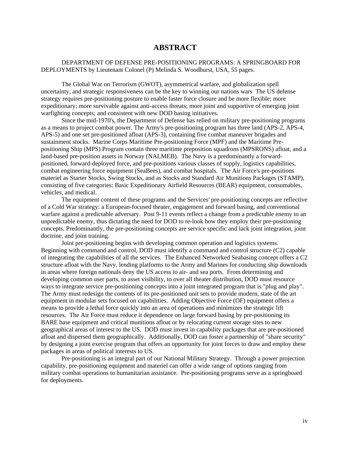# **ABSTRACT**

### <span id="page-5-0"></span>DEPARTMENT OF DEFENSE PRE-POSITIONING PROGRAMS: A SPRINGBOARD FOR DEPLOYMENTS by Lieutenant Colonel (P) Melinda S. Woodhurst, USA, 55 pages.

The Global War on Terrorism (GWOT), asymmetrical warfare, and globalization spell uncertainty, and strategic responsiveness can be the key to winning our nations wars The US defense strategy requires pre-positioning posture to enable faster force closure and be more flexible; more expeditionary; more survivable against anti-access threats; more joint and supportive of emerging joint warfighting concepts; and consistent with new DOD basing initiatives.

Since the mid-1970's, the Department of Defense has relied on military pre-positioning programs as a means to project combat power. The Army's pre-positioning program has three land (APS-2, APS-4, APS-5) and one set pre-positioned afloat (APS-3), containing five combat maneuver brigades and sustainment stocks. Marine Corps Maritime Pre-positioning Force (MPF) and the Maritime Prepositioning Ship (MPS) Program contain three maritime preposition squadrons (MPSRONS) afloat, and a land-based pre-position assets in Norway (NALMEB). The Navy is a predominantly a forwardpositioned, forward-deployed force, and pre-positions various classes of supply, logistics capabilities, combat engineering force equipment (SeaBees), and combat hospitals. The Air Force's pre-positions materiel as Starter Stocks, Swing Stocks, and as Stocks and Standard Air Munitions Packages (STAMP), consisting of five categories: Basic Expeditionary Airfield Resources (BEAR) equipment, consumables, vehicles, and medical.

The equipment content of these programs and the Services' pre-positioning concepts are reflective of a Cold War strategy: a European-focused theater, engagement and forward basing, and conventional warfare against a predictable adversary. Post 9-11 events reflect a change from a predictable enemy to an unpredictable enemy, thus dictating the need for DOD to re-look how they employ their pre-positioning concepts. Predominantly, the pre-positioning concepts are service specific and lack joint integration, joint doctrine, and joint training.

Joint pre-positioning begins with developing common operation and logistics systems. Beginning with command and control, DOD must identify a command and control structure (C2) capable of integrating the capabilities of all the services. The Enhanced Networked Seabasing concept offers a C2 structure afloat with the Navy, lending platforms to the Army and Marines for conducting ship downloads in areas where foreign nationals deny the US access to air- and sea ports. From determining and developing common user parts, to asset visibility, to over all theater distribution, DOD must resource ways to integrate service pre-positioning concepts into a joint integrated program that is "plug and play". The Army must redesign the contents of its pre-positioned unit sets to provide modern, state of the art equipment in modular sets focused on capabilities. Adding Objective Force (OF) equipment offers a means to provide a lethal force quickly into an area of operations and minimizes the strategic lift resources. The Air Force must reduce it dependence on large forward basing by pre-positioning its BARE base equipment and critical munitions afloat or by relocating current storage sites to new geographical areas of interest to the US. DOD must invest in capability packages that are pre-positioned afloat and dispersed them geographically. Additionally, DOD can foster a partnership of "share security" by designing a joint exercise program that offers an opportunity for joint forces to draw and employ these packages in areas of political interests to US.

Pre-positioning is an integral part of our National Military Strategy. Through a power projection capability, pre-positioning equipment and materiel can offer a wide range of options ranging from military combat operations to humanitarian assistance. Pre-positioning programs serve as a springboard for deployments.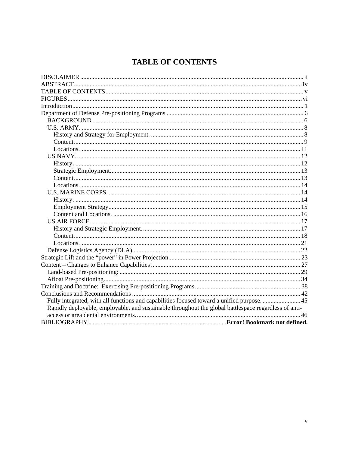# **TABLE OF CONTENTS**

<span id="page-6-0"></span>

| Fully integrated, with all functions and capabilities focused toward a unified purpose. 45            |  |
|-------------------------------------------------------------------------------------------------------|--|
| Rapidly deployable, employable, and sustainable throughout the global battlespace regardless of anti- |  |
|                                                                                                       |  |
|                                                                                                       |  |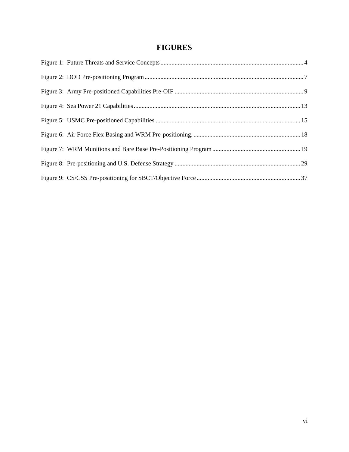# **FIGURES**

<span id="page-7-0"></span>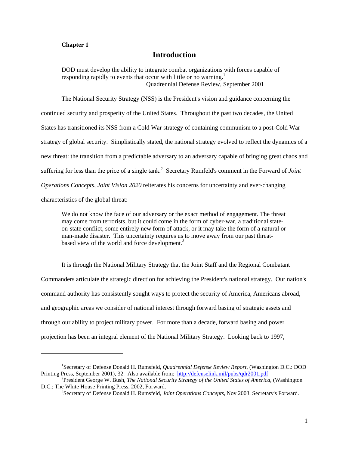#### <span id="page-8-0"></span>**Chapter 1**

l

# **Introduction**

DOD must develop the ability to integrate combat organizations with forces capable of responding rapidly to events that occur with little or no warning.<sup>[1](#page-8-1)</sup> Quadrennial Defense Review, September 2001

The National Security Strategy (NSS) is the President's vision and guidance concerning the continued security and prosperity of the United States. Throughout the past two decades, the United States has transitioned its NSS from a Cold War strategy of containing communism to a post-Cold War strategy of global security. Simplistically stated, the national strategy evolved to reflect the dynamics of a new threat: the transition from a predictable adversary to an adversary capable of bringing great chaos and suffering for less than the price of a single tank.<sup>[2](#page-8-2)</sup> Secretary Rumfeld's comment in the Forward of *Joint Operations Concepts, Joint Vision 2020* reiterates his concerns for uncertainty and ever-changing characteristics of the global threat:

We do not know the face of our adversary or the exact method of engagement. The threat may come from terrorists, but it could come in the form of cyber-war, a traditional stateon-state conflict, some entirely new form of attack, or it may take the form of a natural or man-made disaster. This uncertainty requires us to move away from our past threatbased view of the world and force development*. [3](#page-8-3)*

It is through the National Military Strategy that the Joint Staff and the Regional Combatant Commanders articulate the strategic direction for achieving the President's national strategy. Our nation's command authority has consistently sought ways to protect the security of America, Americans abroad, and geographic areas we consider of national interest through forward basing of strategic assets and through our ability to project military power. For more than a decade, forward basing and power projection has been an integral element of the National Military Strategy. Looking back to 1997,

<span id="page-8-1"></span><sup>1</sup> Secretary of Defense Donald H. Rumsfeld, *Quadrennial Defense Review Report*, (Washington D.C.: DOD Printing Press, September 2001), 32. Also available from: <http://defenselink.mil/pubs/qdr2001.pdf>2

President George W. Bush, *The National Security Strategy of the United States of America*, (Washington D.C.: The White House Printing Press, 2002, Forward.

<span id="page-8-3"></span><span id="page-8-2"></span>Secretary of Defense Donald H. Rumsfeld, *Joint Operations Concepts*, Nov 2003, Secretary's Forward.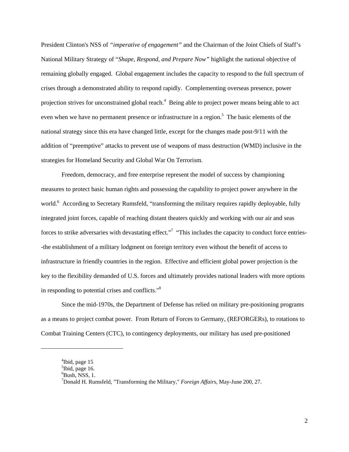President Clinton's NSS of *"imperative of engagement"* and the Chairman of the Joint Chiefs of Staff's National Military Strategy of "*Shape, Respond, and Prepare Now"* highlight the national objective of remaining globally engaged. Global engagement includes the capacity to respond to the full spectrum of crises through a demonstrated ability to respond rapidly. Complementing overseas presence, power projection strives for unconstrained global reach.<sup>[4](#page-9-0)</sup> Being able to project power means being able to act even when we have no permanent presence or infrastructure in a region.<sup>5</sup> The basic elements of the national strategy since this era have changed little, except for the changes made post-9/11 with the addition of "preemptive" attacks to prevent use of weapons of mass destruction (WMD) inclusive in the strategies for Homeland Security and Global War On Terrorism.

Freedom, democracy, and free enterprise represent the model of success by championing measures to protect basic human rights and possessing the capability to project power anywhere in the world.<sup>[6](#page-9-2)</sup> According to Secretary Rumsfeld, "transforming the military requires rapidly deployable, fully integrated joint forces, capable of reaching distant theaters quickly and working with our air and seas forces to strike adversaries with devastating effect."<sup>7</sup> "This includes the capacity to conduct force entries--the establishment of a military lodgment on foreign territory even without the benefit of access to infrastructure in friendly countries in the region. Effective and efficient global power projection is the key to the flexibility demanded of U.S. forces and ultimately provides national leaders with more options in responding to potential crises and conflicts.["8](#page-9-4)

Since the mid-1970s, the Department of Defense has relied on military pre-positioning programs as a means to project combat power. From Return of Forces to Germany, (REFORGERs), to rotations to Combat Training Centers (CTC), to contingency deployments, our military has used pre-positioned

1

<span id="page-9-0"></span> $^{4}$ Ibid, page 15

<span id="page-9-1"></span> $<sup>5</sup>$  Ibid, page 16.</sup>

<span id="page-9-2"></span> $6$ Bush, NSS, 1.

<span id="page-9-4"></span><span id="page-9-3"></span>Donald H. Rumsfeld, "Transforming the Military," *Foreign Affairs,* May-June 200, 27.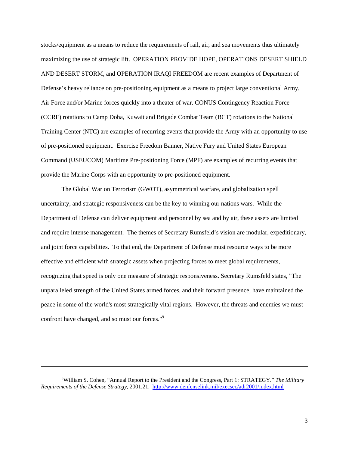stocks/equipment as a means to reduce the requirements of rail, air, and sea movements thus ultimately maximizing the use of strategic lift. OPERATION PROVIDE HOPE, OPERATIONS DESERT SHIELD AND DESERT STORM, and OPERATION IRAQI FREEDOM are recent examples of Department of Defense's heavy reliance on pre-positioning equipment as a means to project large conventional Army, Air Force and/or Marine forces quickly into a theater of war. CONUS Contingency Reaction Force (CCRF) rotations to Camp Doha, Kuwait and Brigade Combat Team (BCT) rotations to the National Training Center (NTC) are examples of recurring events that provide the Army with an opportunity to use of pre-positioned equipment. Exercise Freedom Banner, Native Fury and United States European Command (USEUCOM) Maritime Pre-positioning Force (MPF) are examples of recurring events that provide the Marine Corps with an opportunity to pre-positioned equipment.

The Global War on Terrorism (GWOT), asymmetrical warfare, and globalization spell uncertainty, and strategic responsiveness can be the key to winning our nations wars. While the Department of Defense can deliver equipment and personnel by sea and by air, these assets are limited and require intense management. The themes of Secretary Rumsfeld's vision are modular, expeditionary, and joint force capabilities. To that end, the Department of Defense must resource ways to be more effective and efficient with strategic assets when projecting forces to meet global requirements, recognizing that speed is only one measure of strategic responsiveness. Secretary Rumsfeld states, "The unparalleled strength of the United States armed forces, and their forward presence, have maintained the peace in some of the world's most strategically vital regions. However, the threats and enemies we must confront have changed, and so must our forces.["9](#page-10-0)

<span id="page-10-0"></span><sup>8</sup> William S. Cohen, "Annual Report to the President and the Congress, Part 1: STRATEGY." *The Military Requirements of the Defense Strategy*, 2001,21, <http://www.denfenselink.mil/execsec/adr2001/index.html>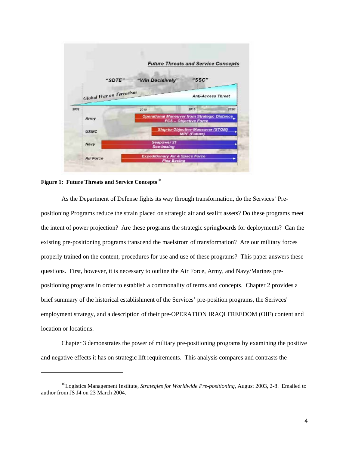<span id="page-11-0"></span>

**Figure 1: Future Threats and Service Concepts[10](#page-11-1)**

1

As the Department of Defense fights its way through transformation, do the Services' Prepositioning Programs reduce the strain placed on strategic air and sealift assets? Do these programs meet the intent of power projection? Are these programs the strategic springboards for deployments? Can the existing pre-positioning programs transcend the maelstrom of transformation? Are our military forces properly trained on the content, procedures for use and use of these programs? This paper answers these questions. First, however, it is necessary to outline the Air Force, Army, and Navy/Marines prepositioning programs in order to establish a commonality of terms and concepts. Chapter 2 provides a brief summary of the historical establishment of the Services' pre-position programs, the Serivces' employment strategy, and a description of their pre-OPERATION IRAQI FREEDOM (OIF) content and location or locations.

Chapter 3 demonstrates the power of military pre-positioning programs by examining the positive and negative effects it has on strategic lift requirements. This analysis compares and contrasts the

<span id="page-11-1"></span><sup>10</sup>Logistics Management Institute, *Strategies for Worldwide Pre-positioning*, August 2003, 2-8. Emailed to author from JS J4 on 23 March 2004.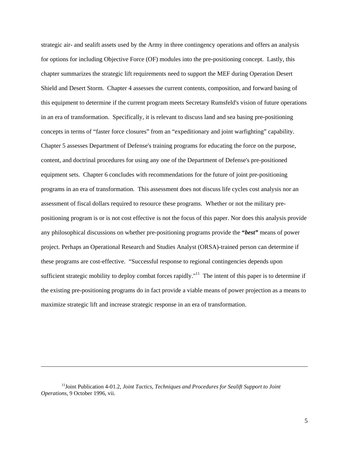strategic air- and sealift assets used by the Army in three contingency operations and offers an analysis for options for including Objective Force (OF) modules into the pre-positioning concept. Lastly, this chapter summarizes the strategic lift requirements need to support the MEF during Operation Desert Shield and Desert Storm. Chapter 4 assesses the current contents, composition, and forward basing of this equipment to determine if the current program meets Secretary Rumsfeld's vision of future operations in an era of transformation. Specifically, it is relevant to discuss land and sea basing pre-positioning concepts in terms of "faster force closures" from an "expeditionary and joint warfighting" capability. Chapter 5 assesses Department of Defense's training programs for educating the force on the purpose, content, and doctrinal procedures for using any one of the Department of Defense's pre-positioned equipment sets. Chapter 6 concludes with recommendations for the future of joint pre-positioning programs in an era of transformation. This assessment does not discuss life cycles cost analysis nor an assessment of fiscal dollars required to resource these programs. Whether or not the military prepositioning program is or is not cost effective is not the focus of this paper. Nor does this analysis provide any philosophical discussions on whether pre-positioning programs provide the **"***best"* means of power project. Perhaps an Operational Research and Studies Analyst (ORSA)-trained person can determine if these programs are cost-effective. "Successful response to regional contingencies depends upon sufficient strategic mobility to deploy combat forces rapidly."<sup>11</sup> The intent of this paper is to determine if the existing pre-positioning programs do in fact provide a viable means of power projection as a means to maximize strategic lift and increase strategic response in an era of transformation.

<span id="page-12-0"></span><sup>11</sup>Joint Publication 4-01.2, *Joint Tactics, Techniques and Procedures for Sealift Support to Joint Operations*, 9 October 1996, vii.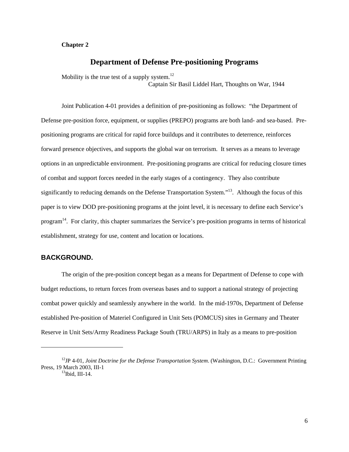### <span id="page-13-0"></span>**Chapter 2**

## **Department of Defense Pre-positioning Programs**

Mobility is the true test of a supply system. $^{12}$  $^{12}$  $^{12}$ 

Captain Sir Basil Liddel Hart, Thoughts on War, 1944

Joint Publication 4-01 provides a definition of pre-positioning as follows: "the Department of Defense pre-position force, equipment, or supplies (PREPO) programs are both land- and sea-based. Prepositioning programs are critical for rapid force buildups and it contributes to deterrence, reinforces forward presence objectives, and supports the global war on terrorism. It serves as a means to leverage options in an unpredictable environment. Pre-positioning programs are critical for reducing closure times of combat and support forces needed in the early stages of a contingency. They also contribute significantly to reducing demands on the Defense Transportation System."<sup>13</sup>. Although the focus of this paper is to view DOD pre-positioning programs at the joint level, it is necessary to define each Service's program[14.](#page-13-3) For clarity, this chapter summarizes the Service's pre-position programs in terms of historical establishment, strategy for use, content and location or locations.

# **BACKGROUND.**

1

The origin of the pre-position concept began as a means for Department of Defense to cope with budget reductions, to return forces from overseas bases and to support a national strategy of projecting combat power quickly and seamlessly anywhere in the world. In the mid-1970s, Department of Defense established Pre-position of Materiel Configured in Unit Sets (POMCUS) sites in Germany and Theater Reserve in Unit Sets/Army Readiness Package South (TRU/ARPS) in Italy as a means to pre-position

<span id="page-13-3"></span><span id="page-13-2"></span><span id="page-13-1"></span><sup>12</sup>JP 4-01, *Joint Doctrine for the Defense Transportation System*. (Washington, D.C.: Government Printing Press, 19 March 2003, III-1<br><sup>13</sup>Ibid, III-14.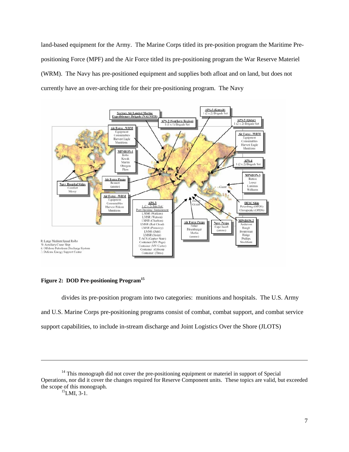<span id="page-14-0"></span>land-based equipment for the Army. The Marine Corps titled its pre-position program the Maritime Prepositioning Force (MPF) and the Air Force titled its pre-positioning program the War Reserve Materiel (WRM). The Navy has pre-positioned equipment and supplies both afloat and on land, but does not currently have an over-arching title for their pre-positioning program. The Navy



**Figure 2: DOD Pre-positioning Program[15](#page-14-1)**

divides its pre-position program into two categories: munitions and hospitals. The U.S. Army and U.S. Marine Corps pre-positioning programs consist of combat, combat support, and combat service support capabilities, to include in-stream discharge and Joint Logistics Over the Shore (JLOTS)

<sup>&</sup>lt;sup>14</sup> This monograph did not cover the pre-positioning equipment or materiel in support of Special Operations, nor did it cover the changes required for Reserve Component units. These topics are valid, but exceeded the scope of this monograph.<br><sup>15</sup>LMI, 3-1.

<span id="page-14-1"></span>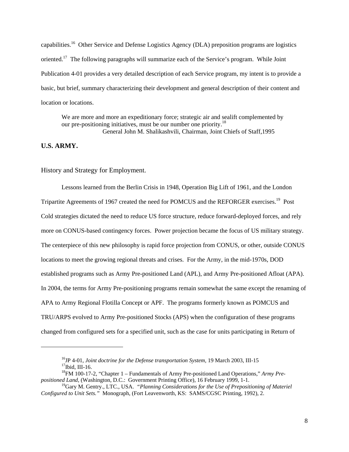<span id="page-15-0"></span>capabilities.<sup>16</sup> Other Service and Defense Logistics Agency (DLA) preposition programs are logistics oriented.<sup>17</sup> The following paragraphs will summarize each of the Service's program. While Joint Publication 4-01 provides a very detailed description of each Service program, my intent is to provide a basic, but brief, summary characterizing their development and general description of their content and location or locations.

We are more and more an expeditionary force; strategic air and sealift complemented by our pre-positioning initiatives, must be our number one priority.<sup>[18](#page-15-3)</sup> General John M. Shalikashvili, Chairman, Joint Chiefs of Staff,1995

### **U.S. ARMY.**

l

### History and Strategy for Employment.

Lessons learned from the Berlin Crisis in 1948, Operation Big Lift of 1961, and the London Tripartite Agreements of 1967 created the need for POMCUS and the REFORGER exercises.<sup>19</sup> Post Cold strategies dictated the need to reduce US force structure, reduce forward-deployed forces, and rely more on CONUS-based contingency forces. Power projection became the focus of US military strategy. The centerpiece of this new philosophy is rapid force projection from CONUS, or other, outside CONUS locations to meet the growing regional threats and crises. For the Army, in the mid-1970s, DOD established programs such as Army Pre-positioned Land (APL), and Army Pre-positioned Afloat (APA). In 2004, the terms for Army Pre-positioning programs remain somewhat the same except the renaming of APA to Army Regional Flotilla Concept or APF. The programs formerly known as POMCUS and TRU/ARPS evolved to Army Pre-positioned Stocks (APS) when the configuration of these programs changed from configured sets for a specified unit, such as the case for units participating in Return of

<span id="page-15-3"></span><span id="page-15-2"></span><span id="page-15-1"></span>

<sup>&</sup>lt;sup>16</sup>JP 4-01, *Joint doctrine for the Defense transportation System,* 19 March 2003, III-15<br><sup>17</sup>Ibid, III-16.<br><sup>18</sup>FM 100-17-2, "Chapter 1 – Fundamentals of Army Pre-positioned Land Operations," *Army Pre-*<br>*positioned Land,* 

<span id="page-15-4"></span><sup>&</sup>lt;sup>19</sup>Gary M. Gentry., LTC., USA. *"Planning Considerations for the Use of Prepositioning of Materiel Configured to Unit Sets."* Monograph, (Fort Leavenworth, KS: SAMS/CGSC Printing, 1992), 2.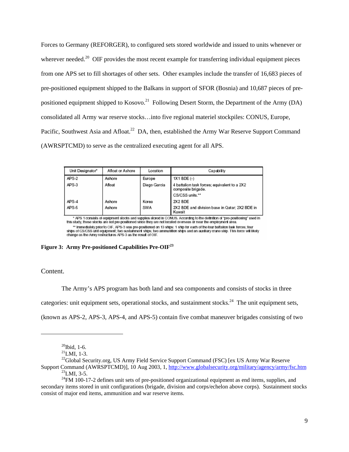<span id="page-16-0"></span>Forces to Germany (REFORGER), to configured sets stored worldwide and issued to units whenever or wherever needed.<sup>20</sup> OIF provides the most recent example for transferring individual equipment pieces from one APS set to fill shortages of other sets. Other examples include the transfer of 16,683 pieces of pre-positioned equipment shipped to the Balkans in support of SFOR (Bosnia) and 10,687 pieces of prepositioned equipment shipped to Kosovo.<sup>21</sup> Following Desert Storm, the Department of the Army (DA) consolidated all Army war reserve stocks…into five regional materiel stockpiles: CONUS, Europe, Pacific, Southwest Asia and Afloat.<sup>22</sup> DA, then, established the Army War Reserve Support Command (AWRSPTCMD) to serve as the centralized executing agent for all APS.

| Unit Designator* | Afloat or Ashore | Location     | Capability                                                                            |
|------------------|------------------|--------------|---------------------------------------------------------------------------------------|
| APS-2            | Ashore           | Europe       | 1X1 BDE (-)                                                                           |
| APS-3            | Afloat           | Diego Garcia | 4 battalion task forces; equivalent to a 2X2<br>composite brigade.<br>CS/CSS units."" |
| APS-4<br>APS-5   | Ashore<br>Ashore | Korea<br>SWA | 2X2 BDE<br>2X2 BDE and division base in Qatar: 2X2 BDE in<br>Kuwait                   |

\* APS 1 consists of equipment stocks and supples stored in CONUS. According to the definition of "pre-positioning" used in<br>this study, these stocks are not pre-positioned since they are not located overseas or near the emp and mediately prior to OIF, APS-3 was pre-positioned on 13 ships: 1 ship for each of the four battalion task forces; four ships of CS/CSS unit equipment; two sustainment ships; 1 ship for each of the four battalion task fo

#### **Figure 3: Army Pre-positioned Capabilities Pre-OIF[23](#page-16-4)**

#### Content.

l

The Army's APS program has both land and sea components and consists of stocks in three

categories: unit equipment sets, operational stocks, and sustainment stocks.<sup>24</sup> The unit equipment sets.

(known as APS-2, APS-3, APS-4, and APS-5) contain five combat maneuver brigades consisting of two

<span id="page-16-1"></span>

<span id="page-16-5"></span><span id="page-16-4"></span><span id="page-16-3"></span><span id="page-16-2"></span>

<sup>&</sup>lt;sup>20</sup>Ibid, 1-6.<br><sup>21</sup>LMI, 1-3.<br><sup>22</sup>Global Security.org, US Army Field Service Support Command (FSC) [ex US Army War Reserve<br>Support Command (AWRSPTCMD)], 10 Aug 2003, 1, http://www.globalsecurity.org/military/agency/army/fs

 $\frac{^{23}$ LMI, 3-5.  $\frac{^{24}$ FM 100-17-2 defines unit sets of pre-positioned organizational equipment as end items, supplies, and

secondary items stored in unit configurations (brigade, division and corps/echelon above corps). Sustainment stocks consist of major end items, ammunition and war reserve items.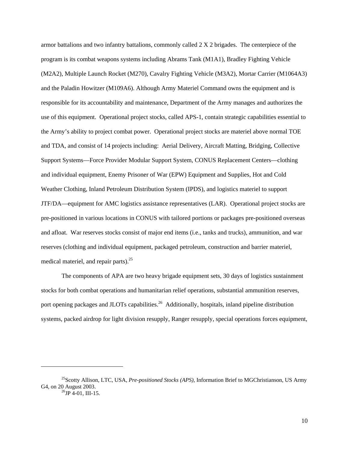armor battalions and two infantry battalions, commonly called 2 X 2 brigades. The centerpiece of the program is its combat weapons systems including Abrams Tank (M1A1), Bradley Fighting Vehicle (M2A2), Multiple Launch Rocket (M270), Cavalry Fighting Vehicle (M3A2), Mortar Carrier (M1064A3) and the Paladin Howitzer (M109A6). Although Army Materiel Command owns the equipment and is responsible for its accountability and maintenance, Department of the Army manages and authorizes the use of this equipment. Operational project stocks, called APS-1, contain strategic capabilities essential to the Army's ability to project combat power. Operational project stocks are materiel above normal TOE and TDA, and consist of 14 projects including: Aerial Delivery, Aircraft Matting, Bridging, Collective Support Systems—Force Provider Modular Support System, CONUS Replacement Centers—clothing and individual equipment, Enemy Prisoner of War (EPW) Equipment and Supplies, Hot and Cold Weather Clothing, Inland Petroleum Distribution System (IPDS), and logistics materiel to support JTF/DA—equipment for AMC logistics assistance representatives (LAR). Operational project stocks are pre-positioned in various locations in CONUS with tailored portions or packages pre-positioned overseas and afloat. War reserves stocks consist of major end items (i.e., tanks and trucks), ammunition, and war reserves (clothing and individual equipment, packaged petroleum, construction and barrier materiel, medical materiel, and repair parts). $25$ 

The components of APA are two heavy brigade equipment sets, 30 days of logistics sustainment stocks for both combat operations and humanitarian relief operations, substantial ammunition reserves, port opening packages and JLOTs capabilities.<sup>26</sup> Additionally, hospitals, inland pipeline distribution systems, packed airdrop for light division resupply, Ranger resupply, special operations forces equipment,

<span id="page-17-1"></span><span id="page-17-0"></span><sup>25</sup>Scotty Allison, LTC, USA, *Pre-positioned Stocks (APS)*, Information Brief to MGChristianson, US Army G4, on 20 August 2003.<br><sup>26</sup>JP 4-01, III-15.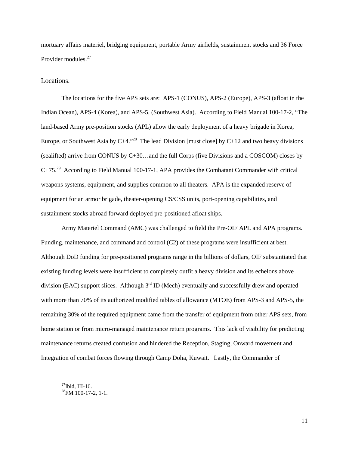<span id="page-18-0"></span>mortuary affairs materiel, bridging equipment, portable Army airfields, sustainment stocks and 36 Force Provider modules.<sup>[27](#page-18-1)</sup>

Locations.

The locations for the five APS sets are: APS-1 (CONUS), APS-2 (Europe), APS-3 (afloat in the Indian Ocean), APS-4 (Korea), and APS-5, (Southwest Asia). According to Field Manual 100-17-2, "The land-based Army pre-position stocks (APL) allow the early deployment of a heavy brigade in Korea, Europe, or Southwest Asia by  $C+4.^{328}$  The lead Division [must close] by  $C+12$  and two heavy divisions (sealifted) arrive from CONUS by C+30…and the full Corps (five Divisions and a COSCOM) closes by C+75<sup>29</sup> According to Field Manual 100-17-1, APA provides the Combatant Commander with critical weapons systems, equipment, and supplies common to all theaters. APA is the expanded reserve of equipment for an armor brigade, theater-opening CS/CSS units, port-opening capabilities, and sustainment stocks abroad forward deployed pre-positioned afloat ships.

Army Materiel Command (AMC) was challenged to field the Pre-OIF APL and APA programs. Funding, maintenance, and command and control (C2) of these programs were insufficient at best. Although DoD funding for pre-positioned programs range in the billions of dollars, OIF substantiated that existing funding levels were insufficient to completely outfit a heavy division and its echelons above division (EAC) support slices. Although  $3<sup>rd</sup>$  ID (Mech) eventually and successfully drew and operated with more than 70% of its authorized modified tables of allowance (MTOE) from APS-3 and APS-5, the remaining 30% of the required equipment came from the transfer of equipment from other APS sets, from home station or from micro-managed maintenance return programs. This lack of visibility for predicting maintenance returns created confusion and hindered the Reception, Staging, Onward movement and Integration of combat forces flowing through Camp Doha, Kuwait. Lastly, the Commander of

<span id="page-18-3"></span>1

<span id="page-18-2"></span><span id="page-18-1"></span> $^{27}$ Ibid, III-16.<br> $^{28}$ FM 100-17-2, 1-1.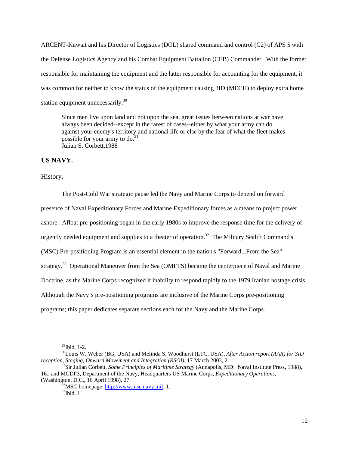<span id="page-19-0"></span>ARCENT-Kuwait and his Director of Logistics (DOL) shared command and control (C2) of APS 5 with the Defense Logistics Agency and his Combat Equipment Battalion (CEB) Commander. With the former responsible for maintaining the equipment and the latter responsible for accounting for the equipment, it was common for neither to know the status of the equipment causing 3ID (MECH) to deploy extra home station equipment unnecessarily.<sup>[30](#page-19-1)</sup>

Since men live upon land and not upon the sea, great issues between nations at war have always been decided--except in the rarest of cases--either by what your army can do against your enemy's territory and national life or else by the fear of what the fleet makes possible for your army to do.<sup>31</sup> Julian S. Corbett,1988

### **US NAVY.**

History**.** 

The Post-Cold War strategic pause led the Navy and Marine Corps to depend on forward presence of Naval Expeditionary Forces and Marine Expeditionary forces as a means to project power ashore. Afloat pre-positioning began in the early 1980s to improve the response time for the delivery of urgently needed equipment and supplies to a theater of operation.<sup>32</sup> The Military Sealift Command's (MSC) Pre-positioning Program is an essential element in the nation's "Forward...From the Sea" strategy.<sup>33</sup> Operational Maneuver from the Sea (OMFTS) became the centerpiece of Naval and Marine Doctrine, as the Marine Corps recognized it inability to respond rapidly to the 1979 Iranian hostage crisis. Although the Navy's pre-positioning programs are inclusive of the Marine Corps pre-positioning programs; this paper dedicates separate sections each for the Navy and the Marine Corps.

<span id="page-19-2"></span><span id="page-19-1"></span>

1

<sup>&</sup>lt;sup>29</sup>Ibid, 1-2.<br><sup>30</sup>Louis W. Weber (BG, USA) and Melinda S. Woodhurst (LTC, USA), *After Action report (AAR) for 3ID reception, Staging, Onward Movement and Integration (RSOI)*, 17 March 2003, 2.

<sup>&</sup>lt;sup>31</sup>Sir Julian Corbett, *Some Principles of Maritime Strategy* (Annapolis, MD: Naval Institute Press, 1988), 16., and MCDP3, Department of the Navy, Headquarters US Marine Corps, *Expeditionary Operations*, (Washington, D.C., 16 April 1998), 27.<br><sup>32</sup>MSC homepage, <u>http://www.msc.navy.mil</u>, 1.<br><sup>33</sup>Ibid. 1

<span id="page-19-3"></span>

<span id="page-19-4"></span>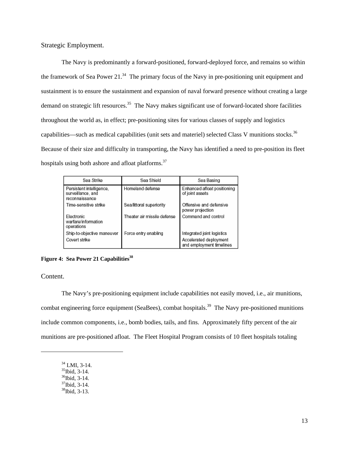<span id="page-20-0"></span>Strategic Employment.

The Navy is predominantly a forward-positioned, forward-deployed force, and remains so within the framework of Sea Power 21. $34$  The primary focus of the Navy in pre-positioning unit equipment and sustainment is to ensure the sustainment and expansion of naval forward presence without creating a large demand on strategic lift resources.<sup>35</sup> The Navy makes significant use of forward-located shore facilities throughout the world as, in effect; pre-positioning sites for various classes of supply and logistics capabilities—such as medical capabilities (unit sets and materiel) selected Class V munitions stocks.<sup>36</sup> Because of their size and difficulty in transporting, the Navy has identified a need to pre-position its fleet hospitals using both ashore and afloat platforms.<sup>[37](#page-20-4)</sup>

| Sea Strike                                                      | Sea Shield                  | Sea Basing                                                                       |
|-----------------------------------------------------------------|-----------------------------|----------------------------------------------------------------------------------|
| Persistent intelligence.<br>surveillance, and<br>reconnaissance | Homeland defense            | Enhanced afloat positioning<br>of joint assets                                   |
| Time-sensitive strike                                           | Sea/littoral superiority    | Offensive and defensive<br>power projection                                      |
| Electronic<br>warfare/information<br>operations                 | Theater air missile defense | Command and control                                                              |
| Ship-to-objective maneuver<br>Covert strike                     | Force entry enabling        | Integrated joint logistics<br>Accelerated deployment<br>and employment timelines |

## **Figure 4: Sea Power 21 Capabilities**<sup>38</sup>

Content.

-

The Navy's pre-positioning equipment include capabilities not easily moved, i.e., air munitions, combat engineering force equipment (SeaBees), combat hospitals.<sup>39</sup> The Navy pre-positioned munitions include common components, i.e., bomb bodies, tails, and fins. Approximately fifty percent of the air munitions are pre-positioned afloat. The Fleet Hospital Program consists of 10 fleet hospitals totaling

- <span id="page-20-6"></span><span id="page-20-2"></span><span id="page-20-1"></span>
- <sup>34</sup> LMI, 3-14.<br><sup>35</sup>Ibid, 3-14.<br><sup>36</sup>Ibid, 3-14.<br><sup>37</sup>Ibid, 3-14.<br><sup>38</sup>Ibid, 3-13.
- <span id="page-20-3"></span>
- <span id="page-20-4"></span>
- <span id="page-20-5"></span>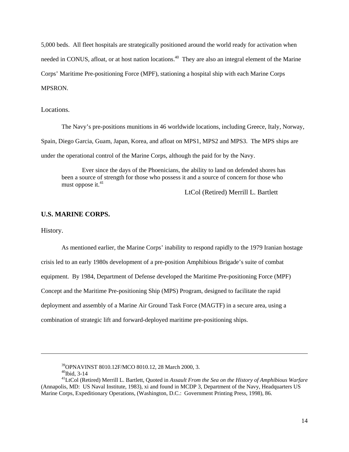<span id="page-21-0"></span>5,000 beds. All fleet hospitals are strategically positioned around the world ready for activation when needed in CONUS, afloat, or at host nation locations.<sup>40</sup> They are also an integral element of the Marine Corps' Maritime Pre-positioning Force (MPF), stationing a hospital ship with each Marine Corps MPSRON.

Locations.

The Navy's pre-positions munitions in 46 worldwide locations, including Greece, Italy, Norway, Spain, Diego Garcia, Guam, Japan, Korea, and afloat on MPS1, MPS2 and MPS3. The MPS ships are under the operational control of the Marine Corps, although the paid for by the Navy.

Ever since the days of the Phoenicians, the ability to land on defended shores has been a source of strength for those who possess it and a source of concern for those who must oppose it.<sup>[41](#page-21-2)</sup>

LtCol (Retired) Merrill L. Bartlett

### **U.S. MARINE CORPS.**

History.

1

As mentioned earlier, the Marine Corps' inability to respond rapidly to the 1979 Iranian hostage crisis led to an early 1980s development of a pre-position Amphibious Brigade's suite of combat equipment. By 1984, Department of Defense developed the Maritime Pre-positioning Force (MPF) Concept and the Maritime Pre-positioning Ship (MPS) Program, designed to facilitate the rapid deployment and assembly of a Marine Air Ground Task Force (MAGTF) in a secure area, using a combination of strategic lift and forward-deployed maritime pre-positioning ships.

<span id="page-21-2"></span><span id="page-21-1"></span>

<sup>&</sup>lt;sup>39</sup>OPNAVINST 8010.12F/MCO 8010.12, 28 March 2000, 3.<br><sup>40</sup>Ibid, 3-14<br><sup>41</sup>LtCol (Retired) Merrill L. Bartlett, Quoted in *Assault From the Sea on the History of Amphibious Warfare* (Annapolis, MD: US Naval Institute, 1983), xi and found in MCDP 3, Department of the Navy, Headquarters US Marine Corps, Expeditionary Operations, (Washington, D.C.: Government Printing Press, 1998), 86.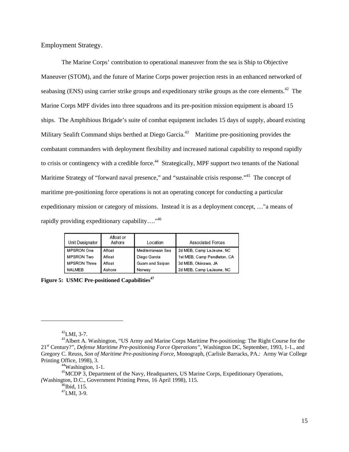<span id="page-22-0"></span>Employment Strategy.

The Marine Corps' contribution to operational maneuver from the sea is Ship to Objective Maneuver (STOM), and the future of Marine Corps power projection rests in an enhanced networked of seabasing (ENS) using carrier strike groups and expeditionary strike groups as the core elements.<sup>42</sup> The Marine Corps MPF divides into three squadrons and its pre-position mission equipment is aboard 15 ships. The Amphibious Brigade's suite of combat equipment includes 15 days of supply, aboard existing Military Sealift Command ships berthed at Diego Garcia.<sup>43</sup> Maritime pre-positioning provides the combatant commanders with deployment flexibility and increased national capability to respond rapidly to crisis or contingency with a credible force.<sup>44</sup> Strategically, MPF support two tenants of the National Maritime Strategy of "forward naval presence," and "sustainable crisis response."<sup>45</sup> The concept of maritime pre-positioning force operations is not an operating concept for conducting a particular expeditionary mission or category of missions. Instead it is as a deployment concept, …"a means of rapidly providing expeditionary capability...."<sup>46</sup>

| Unit Designator     | Afloat or<br>Ashore | Location          | Associated Forces           |
|---------------------|---------------------|-------------------|-----------------------------|
| MPSRON One          | Afloat              | Mediterranean Sea | 2d MEB, Camp LeJeune, NC    |
| <b>MPSRON Two</b>   | Afloat              | Diego Garcia      | 1st MEB, Camp Pendleton, CA |
| <b>MPSRON Three</b> | Afloat              | Guam and Saipan   | 3d MEB, Okinawa, JA         |
| NALMEB              | Ashore              | Norway            | 2d MEB, Camp LeJeune, NC    |

**Figure 5: USMC Pre-positioned Capabilities[47](#page-22-6)**

<span id="page-22-2"></span><span id="page-22-1"></span>

<span id="page-22-5"></span>

<span id="page-22-6"></span>

<sup>&</sup>lt;sup>42</sup>LMI, 3-7.<br><sup>43</sup>Albert A. Washington, "US Army and Marine Corps Maritime Pre-positioning: The Right Course for the 21st Century?", *Defense Maritime Pre-positioning Force Operations"*, Washington DC, September, 1993, 1-1., and Gregory C. Reuss, *Son of Maritime Pre-positioning Force*, Monograph, (Carlisle Barracks, PA.: Army War College Printing Office, 1998), 3.<br><sup>44</sup>Washington, 1-1.

<span id="page-22-4"></span><span id="page-22-3"></span>

<sup>&</sup>lt;sup>45</sup>MCDP 3, Department of the Navy, Headquarters, US Marine Corps, Expeditionary Operations, *(Washington, D.C., Government Printing Press, 16 April 1998), 115.*  $^{47}$ LMI, 3-9.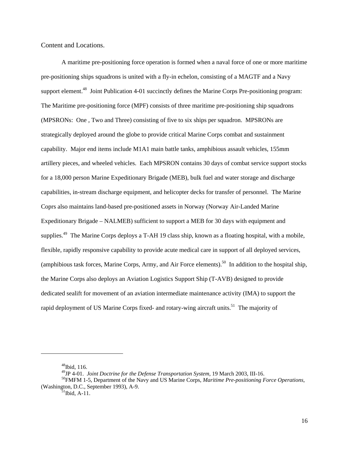<span id="page-23-0"></span>Content and Locations.

A maritime pre-positioning force operation is formed when a naval force of one or more maritime pre-positioning ships squadrons is united with a fly-in echelon, consisting of a MAGTF and a Navy support element.<sup>48</sup> Joint Publication 4-01 succinctly defines the Marine Corps Pre-positioning program: The Maritime pre-positioning force (MPF) consists of three maritime pre-positioning ship squadrons (MPSRONs: One , Two and Three) consisting of five to six ships per squadron. MPSRONs are strategically deployed around the globe to provide critical Marine Corps combat and sustainment capability. Major end items include M1A1 main battle tanks, amphibious assault vehicles, 155mm artillery pieces, and wheeled vehicles. Each MPSRON contains 30 days of combat service support stocks for a 18,000 person Marine Expeditionary Brigade (MEB), bulk fuel and water storage and discharge capabilities, in-stream discharge equipment, and helicopter decks for transfer of personnel. The Marine Coprs also maintains land-based pre-positioned assets in Norway (Norway Air-Landed Marine Expeditionary Brigade – NALMEB) sufficient to support a MEB for 30 days with equipment and supplies.<sup>49</sup> The Marine Corps deploys a T-AH 19 class ship, known as a floating hospital, with a mobile, flexible, rapidly responsive capability to provide acute medical care in support of all deployed services, (amphibious task forces, Marine Corps, Army, and Air Force elements).<sup>50</sup> In addition to the hospital ship. the Marine Corps also deploys an Aviation Logistics Support Ship (T-AVB) designed to provide dedicated sealift for movement of an aviation intermediate maintenance activity (IMA) to support the rapid deployment of US Marine Corps fixed- and rotary-wing aircraft units.<sup>51</sup> The majority of

<span id="page-23-1"></span> $48$ Ibid, 116.

<span id="page-23-3"></span><span id="page-23-2"></span>

<sup>&</sup>lt;sup>49</sup>JP 4-01. *Joint Doctrine for the Defense Transportation System*, 19 March 2003, III-16.<br><sup>50</sup>FMFM 1-5, Department of the Navy and US Marine Corps, *Maritime Pre-positioning Force Operations*, (Washington, D.C., September 1993), A-9.<br><sup>51</sup>Ibid, A-11.

<span id="page-23-4"></span>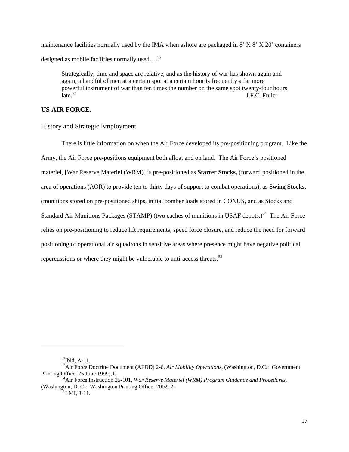<span id="page-24-0"></span>maintenance facilities normally used by the IMA when ashore are packaged in 8' X 8' X 20' containers designed as mobile facilities normally used.... $^{52}$  $^{52}$  $^{52}$ 

Strategically, time and space are relative, and as the history of war has shown again and again, a handful of men at a certain spot at a certain hour is frequently a far more powerful instrument of war than ten times the number on the same spot twenty-four hours<br>late.<sup>53</sup> J.F.C. Fuller J.F.C. Fuller

# **US AIR FORCE.**

History and Strategic Employment.

There is little information on when the Air Force developed its pre-positioning program. Like the Army, the Air Force pre-positions equipment both afloat and on land. The Air Force's positioned materiel, [War Reserve Materiel (WRM)] is pre-positioned as **Starter Stocks,** (forward positioned in the area of operations (AOR) to provide ten to thirty days of support to combat operations), as **Swing Stocks**, (munitions stored on pre-positioned ships, initial bomber loads stored in CONUS, and as Stocks and Standard Air Munitions Packages (STAMP) (two caches of munitions in USAF depots.)<sup>54</sup> The Air Force relies on pre-positioning to reduce lift requirements, speed force closure, and reduce the need for forward positioning of operational air squadrons in sensitive areas where presence might have negative political repercussions or where they might be vulnerable to anti-access threats.<sup>[55](#page-24-4)</sup>

<span id="page-24-2"></span><span id="page-24-1"></span>

<sup>52</sup>Ibid, A-11. 53Air Force Doctrine Document (AFDD) 2-6, *Air Mobility Operations,* (Washington, D.C.: Government

<sup>&</sup>lt;sup>54</sup> Air Force Instruction 25-101, *War Reserve Materiel (WRM) Program Guidance and Procedures,* (Washington, D. C.: Washington Printing Office, 2002, 2.<br><sup>55</sup>LMI, 3-11.

<span id="page-24-4"></span><span id="page-24-3"></span>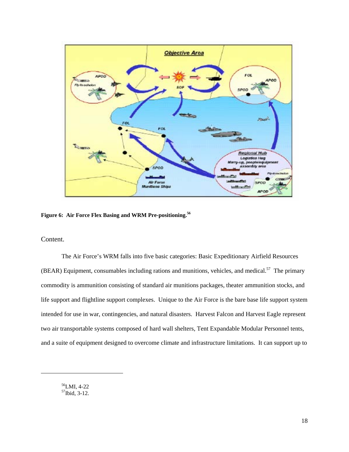<span id="page-25-0"></span>

**Figure 6: Air Force Flex Basing and WRM Pre-positioning.[56](#page-25-1)**

Content.

The Air Force's WRM falls into five basic categories: Basic Expeditionary Airfield Resources (BEAR) Equipment, consumables including rations and munitions, vehicles, and medical.<sup>57</sup> The primary commodity is ammunition consisting of standard air munitions packages, theater ammunition stocks, and life support and flightline support complexes. Unique to the Air Force is the bare base life support system intended for use in war, contingencies, and natural disasters. Harvest Falcon and Harvest Eagle represent two air transportable systems composed of hard wall shelters, Tent Expandable Modular Personnel tents, and a suite of equipment designed to overcome climate and infrastructure limitations. It can support up to

<span id="page-25-2"></span><span id="page-25-1"></span>56LMI, 4-22  $57$ Ibid, 3-12.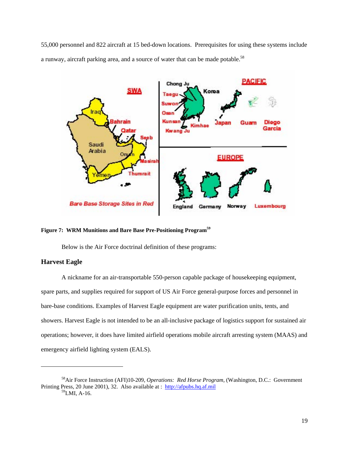<span id="page-26-0"></span>55,000 personnel and 822 aircraft at 15 bed-down locations. Prerequisites for using these systems include a runway, aircraft parking area, and a source of water that can be made potable.<sup>[58](#page-26-1)</sup>



#### **Figure 7: WRM Munitions and Bare Base Pre-Positioning Program[59](#page-26-2)**

Below is the Air Force doctrinal definition of these programs:

### **Harvest Eagle**

1

A nickname for an air-transportable 550-person capable package of housekeeping equipment, spare parts, and supplies required for support of US Air Force general-purpose forces and personnel in bare-base conditions. Examples of Harvest Eagle equipment are water purification units, tents, and showers. Harvest Eagle is not intended to be an all-inclusive package of logistics support for sustained air operations; however, it does have limited airfield operations mobile aircraft arresting system (MAAS) and emergency airfield lighting system (EALS).

<span id="page-26-2"></span><span id="page-26-1"></span><sup>58</sup>Air Force Instruction (AFI)10-209, *Operations: Red Horse Program,* (Washington, D.C.: Government Printing Press, 20 June 2001), 32. Also available at : [http://afpubs.hq.af.mil](http://afpubs.hq.af.mil/) 59LMI, A-16.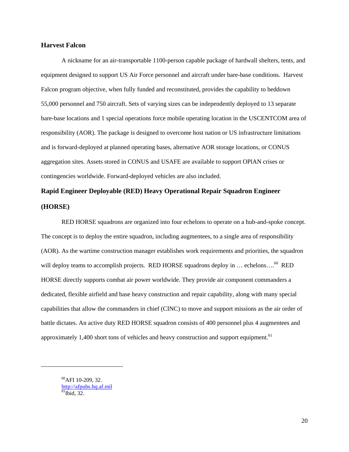### **Harvest Falcon**

A nickname for an air-transportable 1100-person capable package of hardwall shelters, tents, and equipment designed to support US Air Force personnel and aircraft under bare-base conditions. Harvest Falcon program objective, when fully funded and reconstituted, provides the capability to beddown 55,000 personnel and 750 aircraft. Sets of varying sizes can be independently deployed to 13 separate bare-base locations and 1 special operations force mobile operating location in the USCENTCOM area of responsibility (AOR). The package is designed to overcome host nation or US infrastructure limitations and is forward-deployed at planned operating bases, alternative AOR storage locations, or CONUS aggregation sites. Assets stored in CONUS and USAFE are available to support OPlAN crises or contingencies worldwide. Forward-deployed vehicles are also included.

# **Rapid Engineer Deployable (RED) Heavy Operational Repair Squadron Engineer (HORSE)**

RED HORSE squadrons are organized into four echelons to operate on a hub-and-spoke concept. The concept is to deploy the entire squadron, including augmentees, to a single area of responsibility (AOR). As the wartime construction manager establishes work requirements and priorities, the squadron will deploy teams to accomplish projects. RED HORSE squadrons deploy in ... echelons....<sup>60</sup> RED HORSE directly supports combat air power worldwide. They provide air component commanders a dedicated, flexible airfield and base heavy construction and repair capability, along with many special capabilities that allow the commanders in chief (CINC) to move and support missions as the air order of battle dictates. An active duty RED HORSE squadron consists of 400 personnel plus 4 augmentees and approximately 1,400 short tons of vehicles and heavy construction and support equipment.<sup>[61](#page-27-1)</sup>

<span id="page-27-1"></span><span id="page-27-0"></span> $^{60}$ AFI 10-209, 32.  $\frac{http://afpubs.hq.af.mil}{61}$  $\frac{http://afpubs.hq.af.mil}{61}$  $\frac{http://afpubs.hq.af.mil}{61}$  $\frac{http://afpubs.hq.af.mil}{61}$  $\frac{http://afpubs.hq.af.mil}{61}$ Ibid, 32.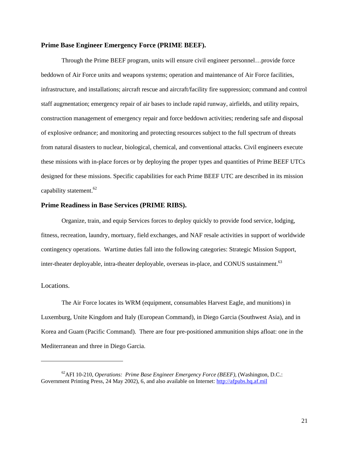### <span id="page-28-0"></span>**Prime Base Engineer Emergency Force (PRIME BEEF).**

Through the Prime BEEF program, units will ensure civil engineer personnel…provide force beddown of Air Force units and weapons systems; operation and maintenance of Air Force facilities, infrastructure, and installations; aircraft rescue and aircraft/facility fire suppression; command and control staff augmentation; emergency repair of air bases to include rapid runway, airfields, and utility repairs, construction management of emergency repair and force beddown activities; rendering safe and disposal of explosive ordnance; and monitoring and protecting resources subject to the full spectrum of threats from natural disasters to nuclear, biological, chemical, and conventional attacks. Civil engineers execute these missions with in-place forces or by deploying the proper types and quantities of Prime BEEF UTCs designed for these missions. Specific capabilities for each Prime BEEF UTC are described in its mission capability statement.<sup>[62](#page-28-1)</sup>

### **Prime Readiness in Base Services (PRIME RIBS).**

Organize, train, and equip Services forces to deploy quickly to provide food service, lodging, fitness, recreation, laundry, mortuary, field exchanges, and NAF resale activities in support of worldwide contingency operations. Wartime duties fall into the following categories: Strategic Mission Support, inter-theater deployable, intra-theater deployable, overseas in-place, and CONUS sustainment.<sup>63</sup>

## Locations.

1

The Air Force locates its WRM (equipment, consumables Harvest Eagle, and munitions) in Luxemburg, Unite Kingdom and Italy (European Command), in Diego Garcia (Southwest Asia), and in Korea and Guam (Pacific Command). There are four pre-positioned ammunition ships afloat: one in the Mediterranean and three in Diego Garcia.

<span id="page-28-2"></span><span id="page-28-1"></span><sup>62</sup>AFI 10-210, *Operations: Prime Base Engineer Emergency Force (BEEF),* (Washington, D.C.: Government Printing Press, 24 May 2002), 6, and also available on Internet: [http://afpubs.hq.af.mil](http://afpubs.hq.af.mil/)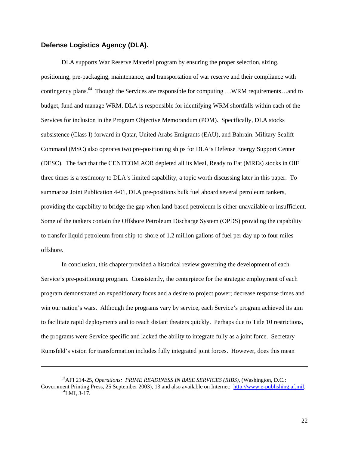## <span id="page-29-0"></span>**Defense Logistics Agency (DLA).**

1

DLA supports War Reserve Materiel program by ensuring the proper selection, sizing, positioning, pre-packaging, maintenance, and transportation of war reserve and their compliance with contingency plans.<sup>64</sup> Though the Services are responsible for computing ...WRM requirements...and to budget, fund and manage WRM, DLA is responsible for identifying WRM shortfalls within each of the Services for inclusion in the Program Objective Memorandum (POM). Specifically, DLA stocks subsistence (Class I) forward in Qatar, United Arabs Emigrants (EAU), and Bahrain. Military Sealift Command (MSC) also operates two pre-positioning ships for DLA's Defense Energy Support Center (DESC). The fact that the CENTCOM AOR depleted all its Meal, Ready to Eat (MREs) stocks in OIF three times is a testimony to DLA's limited capability, a topic worth discussing later in this paper. To summarize Joint Publication 4-01, DLA pre-positions bulk fuel aboard several petroleum tankers, providing the capability to bridge the gap when land-based petroleum is either unavailable or insufficient. Some of the tankers contain the Offshore Petroleum Discharge System (OPDS) providing the capability to transfer liquid petroleum from ship-to-shore of 1.2 million gallons of fuel per day up to four miles offshore.

In conclusion, this chapter provided a historical review governing the development of each Service's pre-positioning program. Consistently, the centerpiece for the strategic employment of each program demonstrated an expeditionary focus and a desire to project power; decrease response times and win our nation's wars. Although the programs vary by service, each Service's program achieved its aim to facilitate rapid deployments and to reach distant theaters quickly. Perhaps due to Title 10 restrictions, the programs were Service specific and lacked the ability to integrate fully as a joint force. Secretary Rumsfeld's vision for transformation includes fully integrated joint forces. However, does this mean

<span id="page-29-1"></span><sup>63</sup>AFI 214-25, *Operations: PRIME READINESS IN BASE SERVICES (RIBS),* (Washington, D.C.: Government Printing Press, 25 September 2003), 13 and also available on Internet: [http://www.e-publishing.af.mil.](http://www.e-publishing.af.mil/) <sup>64</sup>LMI, 3-17.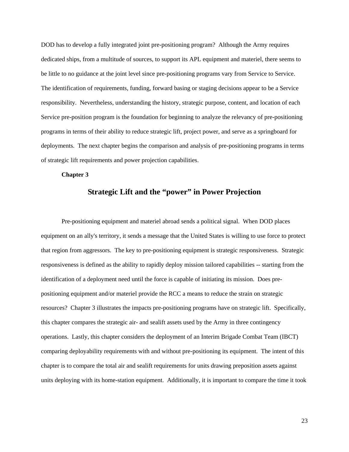<span id="page-30-0"></span>DOD has to develop a fully integrated joint pre-positioning program? Although the Army requires dedicated ships, from a multitude of sources, to support its APL equipment and materiel, there seems to be little to no guidance at the joint level since pre-positioning programs vary from Service to Service. The identification of requirements, funding, forward basing or staging decisions appear to be a Service responsibility. Nevertheless, understanding the history, strategic purpose, content, and location of each Service pre-position program is the foundation for beginning to analyze the relevancy of pre-positioning programs in terms of their ability to reduce strategic lift, project power, and serve as a springboard for deployments. The next chapter begins the comparison and analysis of pre-positioning programs in terms of strategic lift requirements and power projection capabilities.

### **Chapter 3**

# **Strategic Lift and the "power" in Power Projection**

Pre-positioning equipment and materiel abroad sends a political signal. When DOD places equipment on an ally's territory, it sends a message that the United States is willing to use force to protect that region from aggressors. The key to pre-positioning equipment is strategic responsiveness. Strategic responsiveness is defined as the ability to rapidly deploy mission tailored capabilities -- starting from the identification of a deployment need until the force is capable of initiating its mission. Does prepositioning equipment and/or materiel provide the RCC a means to reduce the strain on strategic resources? Chapter 3 illustrates the impacts pre-positioning programs have on strategic lift. Specifically, this chapter compares the strategic air- and sealift assets used by the Army in three contingency operations. Lastly, this chapter considers the deployment of an Interim Brigade Combat Team (IBCT) comparing deployability requirements with and without pre-positioning its equipment. The intent of this chapter is to compare the total air and sealift requirements for units drawing preposition assets against units deploying with its home-station equipment. Additionally, it is important to compare the time it took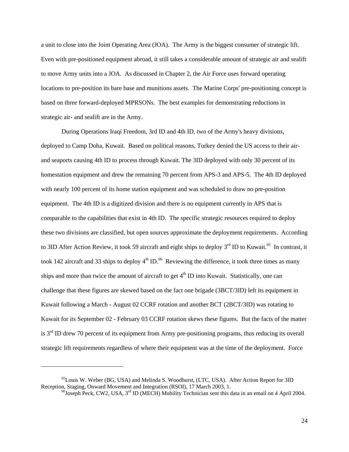a unit to close into the Joint Operating Area (JOA). The Army is the biggest consumer of strategic lift. Even with pre-positioned equipment abroad, it still takes a considerable amount of strategic air and sealift to move Army units into a JOA. As discussed in Chapter 2, the Air Force uses forward operating locations to pre-position its bare base and munitions assets. The Marine Corps' pre-positioning concept is based on three forward-deployed MPRSONs. The best examples for demonstrating reductions in strategic air- and sealift are in the Army.

During Operations Iraqi Freedom, 3rd ID and 4th ID, two of the Army's heavy divisions, deployed to Camp Doha, Kuwait. Based on political reasons, Turkey denied the US access to their airand seaports causing 4th ID to process through Kuwait. The 3ID deployed with only 30 percent of its homestation equipment and drew the remaining 70 percent from APS-3 and APS-5. The 4th ID deployed with nearly 100 percent of its home station equipment and was scheduled to draw no pre-position equipment. The 4th ID is a digitized division and there is no equipment currently in APS that is comparable to the capabilities that exist in 4th ID. The specific strategic resources required to deploy these two divisions are classified, but open sources approximate the deployment requirements. According to 3ID After Action Review, it took 59 aircraft and eight ships to deploy  $3<sup>rd</sup>$  ID to Kuwait.<sup>65</sup> In contrast, it took 142 aircraft and 33 ships to deploy  $4<sup>th</sup>$  ID.<sup>66</sup> Reviewing the difference, it took three times as many ships and more than twice the amount of aircraft to get  $4<sup>th</sup>$  ID into Kuwait. Statistically, one can challenge that these figures are skewed based on the fact one brigade (3BCT/3ID) left its equipment in Kuwait following a March - August 02 CCRF rotation and another BCT (2BCT/3ID) was rotating to Kuwait for its September 02 - February 03 CCRF rotation skews these figures. But the facts of the matter is  $3<sup>rd</sup>$  ID drew 70 percent of its equipment from Army pre-positioning programs, thus reducing its overall strategic lift requirements regardless of where their equipment was at the time of the deployment. Force

 $^{65}$ Louis W. Weber (BG, USA) and Melinda S. Woodhurst, (LTC, USA). After Action Report for 3ID Reception, Staging, Onward Movement and Integration (RSOI), 17 March 2003, 1.

<span id="page-31-1"></span><span id="page-31-0"></span> $^{66}$ Joseph Peck, CW2, USA, 3<sup>rd</sup> ID (MECH) Mobility Technician sent this data in an email on 4 April 2004.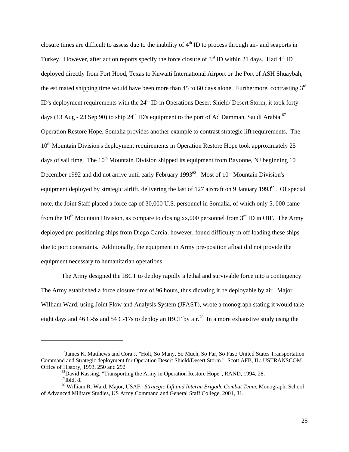closure times are difficult to assess due to the inability of  $4<sup>th</sup>$  ID to process through air- and seaports in Turkey. However, after action reports specify the force closure of  $3<sup>rd</sup>$  ID within 21 days. Had  $4<sup>th</sup>$  ID deployed directly from Fort Hood, Texas to Kuwaiti International Airport or the Port of ASH Shuaybah, the estimated shipping time would have been more than 45 to 60 days alone. Furthermore, contrasting  $3<sup>rd</sup>$ ID's deployment requirements with the 24<sup>th</sup> ID in Operations Desert Shield/ Desert Storm, it took forty days (13 Aug - 23 Sep 90) to ship  $24<sup>th</sup>$  ID's equipment to the port of Ad Damman, Saudi Arabia.<sup>67</sup> Operation Restore Hope, Somalia provides another example to contrast strategic lift requirements. The 10<sup>th</sup> Mountain Division's deployment requirements in Operation Restore Hope took approximately 25 days of sail time. The  $10<sup>th</sup>$  Mountain Division shipped its equipment from Bayonne, NJ beginning 10 December 1992 and did not arrive until early February 1993<sup>68</sup>. Most of  $10<sup>th</sup>$  Mountain Division's equipment deployed by strategic airlift, delivering the last of 127 aircraft on 9 January 1993<sup>69</sup>. Of special note, the Joint Staff placed a force cap of 30,000 U.S. personnel in Somalia, of which only 5, 000 came from the 10<sup>th</sup> Mountain Division, as compare to closing xx,000 personnel from  $3<sup>rd</sup>$  ID in OIF. The Army deployed pre-positioning ships from Diego Garcia; however, found difficulty in off loading these ships due to port constraints. Additionally, the equipment in Army pre-position afloat did not provide the equipment necessary to humanitarian operations.

The Army designed the IBCT to deploy rapidly a lethal and survivable force into a contingency. The Army established a force closure time of 96 hours, thus dictating it be deployable by air. Major William Ward, using Joint Flow and Analysis System (JFAST), wrote a monograph stating it would take eight days and 46 C-5s and 54 C-17s to deploy an IBCT by air.<sup>70</sup> In a more exhaustive study using the

<sup>67</sup>James K. Matthews and Cora J. "Holt, So Many, So Much, So Far, So Fast: United States Transportation Command and Strategic deployment for Operation Desert Shield/Desert Storm." Scott AFB, IL: USTRANSCOM

<span id="page-32-3"></span><span id="page-32-2"></span><span id="page-32-1"></span><span id="page-32-0"></span><sup>&</sup>lt;sup>68</sup>David Kassing, "Transporting the Army in Operation Restore Hope", RAND, 1994, 28.<br><sup>69</sup>Ibid, 8.<br><sup>70</sup> William R. Ward, Major, USAF. *Strategic Lift and Interim Brigade Combat Team*, Monograph, School

of Advanced Military Studies, US Army Command and General Staff College, 2001, 31.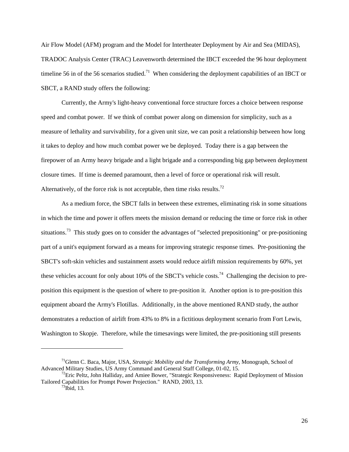Air Flow Model (AFM) program and the Model for Intertheater Deployment by Air and Sea (MIDAS), TRADOC Analysis Center (TRAC) Leavenworth determined the IBCT exceeded the 96 hour deployment timeline 56 in of the 56 scenarios studied.<sup>71</sup> When considering the deployment capabilities of an IBCT or SBCT, a RAND study offers the following:

Currently, the Army's light-heavy conventional force structure forces a choice between response speed and combat power. If we think of combat power along on dimension for simplicity, such as a measure of lethality and survivability, for a given unit size, we can posit a relationship between how long it takes to deploy and how much combat power we be deployed. Today there is a gap between the firepower of an Army heavy brigade and a light brigade and a corresponding big gap between deployment closure times. If time is deemed paramount, then a level of force or operational risk will result. Alternatively, of the force risk is not acceptable, then time risks results.<sup>[72](#page-33-1)</sup>

As a medium force, the SBCT falls in between these extremes, eliminating risk in some situations in which the time and power it offers meets the mission demand or reducing the time or force risk in other situations.<sup>73</sup> This study goes on to consider the advantages of "selected prepositioning" or pre-positioning part of a unit's equipment forward as a means for improving strategic response times. Pre-positioning the SBCT's soft-skin vehicles and sustainment assets would reduce airlift mission requirements by 60%, yet these vehicles account for only about 10% of the SBCT's vehicle costs.<sup>74</sup> Challenging the decision to preposition this equipment is the question of where to pre-position it. Another option is to pre-position this equipment aboard the Army's Flotillas. Additionally, in the above mentioned RAND study, the author demonstrates a reduction of airlift from 43% to 8% in a fictitious deployment scenario from Fort Lewis, Washington to Skopje. Therefore, while the timesavings were limited, the pre-positioning still presents

1

<span id="page-33-0"></span><sup>71</sup>Glenn C. Baca, Major, USA, *Strategic Mobility and the Transforming Army*, Monograph, School of Advanced Military Studies, US Army Command and General Staff College, 01-02, 15.<br><sup>72</sup>Eric Peltz, John Halliday, and Amiee Bower, "Strategic Responsiveness: Rapid Deployment of Mission

Tailored Capabilities for Prompt Power Projection." RAND, 2003, 13.<br><sup>73</sup>Ibid, 13.

<span id="page-33-3"></span><span id="page-33-2"></span><span id="page-33-1"></span>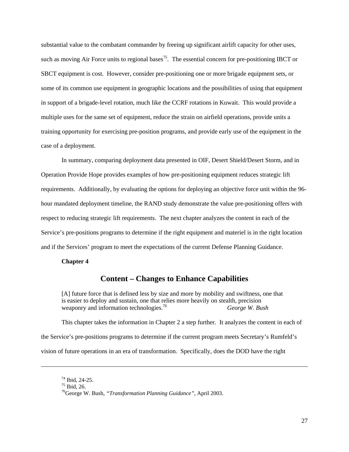<span id="page-34-0"></span>substantial value to the combatant commander by freeing up significant airlift capacity for other uses, such as moving Air Force units to regional bases<sup>75</sup>. The essential concern for pre-positioning IBCT or SBCT equipment is cost. However, consider pre-positioning one or more brigade equipment sets, or some of its common use equipment in geographic locations and the possibilities of using that equipment in support of a brigade-level rotation, much like the CCRF rotations in Kuwait. This would provide a multiple uses for the same set of equipment, reduce the strain on airfield operations, provide units a training opportunity for exercising pre-position programs, and provide early use of the equipment in the case of a deployment.

In summary, comparing deployment data presented in OIF, Desert Shield/Desert Storm, and in Operation Provide Hope provides examples of how pre-positioning equipment reduces strategic lift requirements. Additionally, by evaluating the options for deploying an objective force unit within the 96 hour mandated deployment timeline, the RAND study demonstrate the value pre-positioning offers with respect to reducing strategic lift requirements. The next chapter analyzes the content in each of the Service's pre-positions programs to determine if the right equipment and materiel is in the right location and if the Services' program to meet the expectations of the current Defense Planning Guidance.

#### **Chapter 4**

# **Content – Changes to Enhance Capabilities**

[A] future force that is defined less by size and more by mobility and swiftness, one that is easier to deploy and sustain, one that relies more heavily on stealth, precision weaponry and information technologies.[76](#page-34-2) *George W. Bush* 

This chapter takes the information in Chapter 2 a step further. It analyzes the content in each of the Service's pre-positions programs to determine if the current program meets Secretary's Rumfeld's vision of future operations in an era of transformation. Specifically, does the DOD have the right

<span id="page-34-2"></span><span id="page-34-1"></span>

<sup>&</sup>lt;sup>74</sup> Ibid, 24-25.<br><sup>75</sup> Ibid, 26.<br><sup>76</sup>George W. Bush, *"Transformation Planning Guidance"*, April 2003.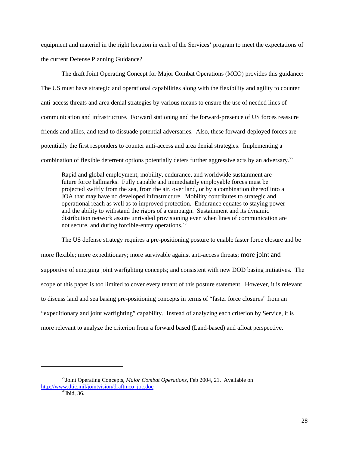equipment and materiel in the right location in each of the Services' program to meet the expectations of the current Defense Planning Guidance?

The draft Joint Operating Concept for Major Combat Operations (MCO) provides this guidance: The US must have strategic and operational capabilities along with the flexibility and agility to counter anti-access threats and area denial strategies by various means to ensure the use of needed lines of communication and infrastructure. Forward stationing and the forward-presence of US forces reassure friends and allies, and tend to dissuade potential adversaries. Also, these forward-deployed forces are potentially the first responders to counter anti-access and area denial strategies. Implementing a combination of flexible deterrent options potentially deters further aggressive acts by an adversary.<sup>77</sup>

Rapid and global employment, mobility, endurance, and worldwide sustainment are future force hallmarks. Fully capable and immediately employable forces must be projected swiftly from the sea, from the air, over land, or by a combination thereof into a JOA that may have no developed infrastructure. Mobility contributes to strategic and operational reach as well as to improved protection. Endurance equates to staying power and the ability to withstand the rigors of a campaign. Sustainment and its dynamic distribution network assure unrivaled provisioning even when lines of communication are not secure, and during forcible-entry operations.<sup>78</sup>

The US defense strategy requires a pre-positioning posture to enable faster force closure and be more flexible; more expeditionary; more survivable against anti-access threats; more joint and supportive of emerging joint warfighting concepts; and consistent with new DOD basing initiatives. The scope of this paper is too limited to cover every tenant of this posture statement. However, it is relevant to discuss land and sea basing pre-positioning concepts in terms of "faster force closures" from an "expeditionary and joint warfighting" capability. Instead of analyzing each criterion by Service, it is more relevant to analyze the criterion from a forward based (Land-based) and afloat perspective.

<sup>77</sup>Joint Operating Concepts, *Major Combat Operations,* Feb 2004, 21. Available on [http://www.dtic.mil/jointvision/draftmco\\_joc.doc](http://www.dtic.mil/jointvision/draftmco_joc.doc) [78](http://www.dtic.mil/jointvision/draftmco_joc.doc)<br>Tbid, 36.

<span id="page-35-1"></span><span id="page-35-0"></span>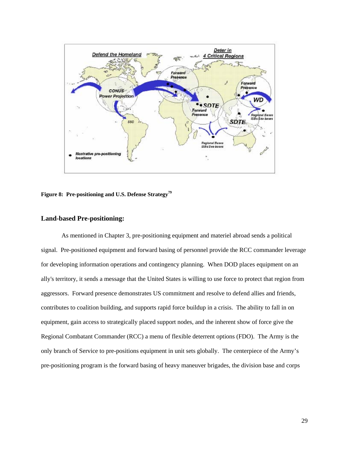<span id="page-36-0"></span>

**Figure 8: Pre-positioning and U.S. Defense Strategy[79](#page-36-1)**

### **Land-based Pre-positioning:**

<span id="page-36-1"></span>As mentioned in Chapter 3, pre-positioning equipment and materiel abroad sends a political signal. Pre-positioned equipment and forward basing of personnel provide the RCC commander leverage for developing information operations and contingency planning. When DOD places equipment on an ally's territory, it sends a message that the United States is willing to use force to protect that region from aggressors. Forward presence demonstrates US commitment and resolve to defend allies and friends, contributes to coalition building, and supports rapid force buildup in a crisis. The ability to fall in on equipment, gain access to strategically placed support nodes, and the inherent show of force give the Regional Combatant Commander (RCC) a menu of flexible deterrent options (FDO). The Army is the only branch of Service to pre-positions equipment in unit sets globally. The centerpiece of the Army's pre-positioning program is the forward basing of heavy maneuver brigades, the division base and corps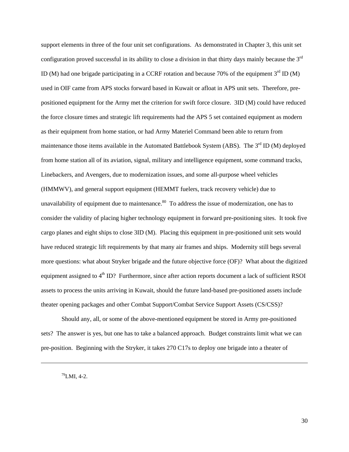support elements in three of the four unit set configurations. As demonstrated in Chapter 3, this unit set configuration proved successful in its ability to close a division in that thirty days mainly because the 3rd ID (M) had one brigade participating in a CCRF rotation and because 70% of the equipment  $3<sup>rd</sup>$  ID (M) used in OIF came from APS stocks forward based in Kuwait or afloat in APS unit sets. Therefore, prepositioned equipment for the Army met the criterion for swift force closure. 3ID (M) could have reduced the force closure times and strategic lift requirements had the APS 5 set contained equipment as modern as their equipment from home station, or had Army Materiel Command been able to return from maintenance those items available in the Automated Battlebook System (ABS). The 3<sup>rd</sup> ID (M) deployed from home station all of its aviation, signal, military and intelligence equipment, some command tracks, Linebackers, and Avengers, due to modernization issues, and some all-purpose wheel vehicles (HMMWV), and general support equipment (HEMMT fuelers, track recovery vehicle) due to unavailability of equipment due to maintenance. $80\degree$  To address the issue of modernization, one has to consider the validity of placing higher technology equipment in forward pre-positioning sites. It took five cargo planes and eight ships to close 3ID (M). Placing this equipment in pre-positioned unit sets would have reduced strategic lift requirements by that many air frames and ships. Modernity still begs several more questions: what about Stryker brigade and the future objective force (OF)? What about the digitized equipment assigned to 4<sup>th</sup> ID? Furthermore, since after action reports document a lack of sufficient RSOI assets to process the units arriving in Kuwait, should the future land-based pre-positioned assets include theater opening packages and other Combat Support/Combat Service Support Assets (CS/CSS)?

Should any, all, or some of the above-mentioned equipment be stored in Army pre-positioned sets? The answer is yes, but one has to take a balanced approach. Budget constraints limit what we can pre-position. Beginning with the Stryker, it takes 270 C17s to deploy one brigade into a theater of

<span id="page-37-0"></span> $^{79}$ LMI, 4-2.

1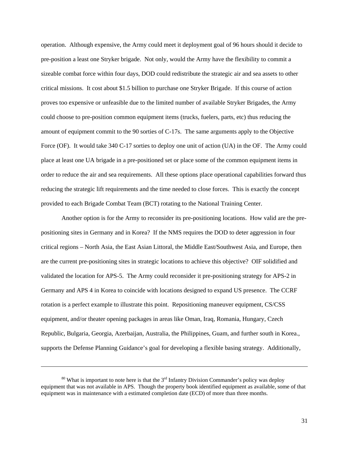operation. Although expensive, the Army could meet it deployment goal of 96 hours should it decide to pre-position a least one Stryker brigade. Not only, would the Army have the flexibility to commit a sizeable combat force within four days, DOD could redistribute the strategic air and sea assets to other critical missions. It cost about \$1.5 billion to purchase one Stryker Brigade. If this course of action proves too expensive or unfeasible due to the limited number of available Stryker Brigades, the Army could choose to pre-position common equipment items (trucks, fuelers, parts, etc) thus reducing the amount of equipment commit to the 90 sorties of C-17s. The same arguments apply to the Objective Force (OF). It would take 340 C-17 sorties to deploy one unit of action (UA) in the OF. The Army could place at least one UA brigade in a pre-positioned set or place some of the common equipment items in order to reduce the air and sea requirements. All these options place operational capabilities forward thus reducing the strategic lift requirements and the time needed to close forces. This is exactly the concept provided to each Brigade Combat Team (BCT) rotating to the National Training Center.

Another option is for the Army to reconsider its pre-positioning locations. How valid are the prepositioning sites in Germany and in Korea? If the NMS requires the DOD to deter aggression in four critical regions – North Asia, the East Asian Littoral, the Middle East/Southwest Asia, and Europe, then are the current pre-positioning sites in strategic locations to achieve this objective? OIF solidified and validated the location for APS-5. The Army could reconsider it pre-positioning strategy for APS-2 in Germany and APS 4 in Korea to coincide with locations designed to expand US presence. The CCRF rotation is a perfect example to illustrate this point. Repositioning maneuver equipment, CS/CSS equipment, and/or theater opening packages in areas like Oman, Iraq, Romania, Hungary, Czech Republic, Bulgaria, Georgia, Azerbaijan, Australia, the Philippines, Guam, and further south in Korea., supports the Defense Planning Guidance's goal for developing a flexible basing strategy. Additionally,

 $80$  What is important to note here is that the  $3<sup>rd</sup>$  Infantry Division Commander's policy was deploy equipment that was not available in APS. Though the property book identified equipment as available, some of that equipment was in maintenance with a estimated completion date (ECD) of more than three months.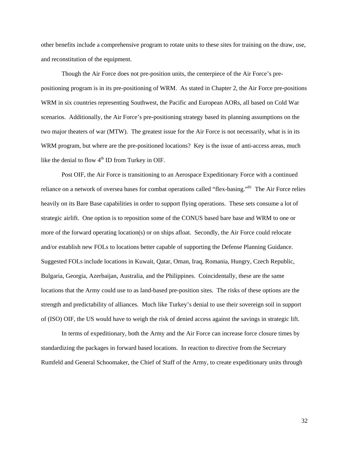other benefits include a comprehensive program to rotate units to these sites for training on the draw, use, and reconstitution of the equipment.

Though the Air Force does not pre-position units, the centerpiece of the Air Force's prepositioning program is in its pre-positioning of WRM. As stated in Chapter 2, the Air Force pre-positions WRM in six countries representing Southwest, the Pacific and European AORs, all based on Cold War scenarios. Additionally, the Air Force's pre-positioning strategy based its planning assumptions on the two major theaters of war (MTW). The greatest issue for the Air Force is not necessarily, what is in its WRM program, but where are the pre-positioned locations? Key is the issue of anti-access areas, much like the denial to flow  $4<sup>th</sup>$  ID from Turkey in OIF.

Post OIF, the Air Force is transitioning to an Aerospace Expeditionary Force with a continued reliance on a network of oversea bases for combat operations called "flex-basing."<sup>81</sup> The Air Force relies heavily on its Bare Base capabilities in order to support flying operations. These sets consume a lot of strategic airlift. One option is to reposition some of the CONUS based bare base and WRM to one or more of the forward operating location(s) or on ships afloat. Secondly, the Air Force could relocate and/or establish new FOLs to locations better capable of supporting the Defense Planning Guidance. Suggested FOLs include locations in Kuwait, Qatar, Oman, Iraq, Romania, Hungry, Czech Republic, Bulgaria, Georgia, Azerbaijan, Australia, and the Philippines. Coincidentally, these are the same locations that the Army could use to as land-based pre-position sites. The risks of these options are the strength and predictability of alliances. Much like Turkey's denial to use their sovereign soil in support of (ISO) OIF, the US would have to weigh the risk of denied access against the savings in strategic lift.

<span id="page-39-0"></span>In terms of expeditionary, both the Army and the Air Force can increase force closure times by standardizing the packages in forward based locations. In reaction to directive from the Secretary Rumfeld and General Schoomaker, the Chief of Staff of the Army, to create expeditionary units through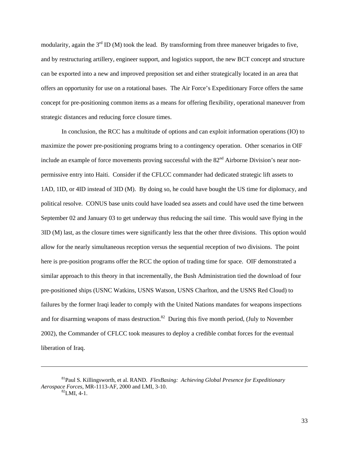modularity, again the  $3<sup>rd</sup>$  ID (M) took the lead. By transforming from three maneuver brigades to five, and by restructuring artillery, engineer support, and logistics support, the new BCT concept and structure can be exported into a new and improved preposition set and either strategically located in an area that offers an opportunity for use on a rotational bases. The Air Force's Expeditionary Force offers the same concept for pre-positioning common items as a means for offering flexibility, operational maneuver from strategic distances and reducing force closure times.

In conclusion, the RCC has a multitude of options and can exploit information operations (IO) to maximize the power pre-positioning programs bring to a contingency operation. Other scenarios in OIF include an example of force movements proving successful with the 82<sup>nd</sup> Airborne Division's near nonpermissive entry into Haiti. Consider if the CFLCC commander had dedicated strategic lift assets to 1AD, 1ID, or 4ID instead of 3ID (M). By doing so, he could have bought the US time for diplomacy, and political resolve. CONUS base units could have loaded sea assets and could have used the time between September 02 and January 03 to get underway thus reducing the sail time. This would save flying in the 3ID (M) last, as the closure times were significantly less that the other three divisions. This option would allow for the nearly simultaneous reception versus the sequential reception of two divisions. The point here is pre-position programs offer the RCC the option of trading time for space. OIF demonstrated a similar approach to this theory in that incrementally, the Bush Administration tied the download of four pre-positioned ships (USNC Watkins, USNS Watson, USNS Charlton, and the USNS Red Cloud) to failures by the former Iraqi leader to comply with the United Nations mandates for weapons inspections and for disarming weapons of mass destruction.<sup>82</sup> During this five month period, (July to November 2002), the Commander of CFLCC took measures to deploy a credible combat forces for the eventual liberation of Iraq.

<span id="page-40-0"></span><sup>81</sup>Paul S. Killingsworth, et al. RAND. *FlexBasing: Achieving Global Presence for Expeditionary Aerospace Forces*, MR-1113-AF, 2000 and LMI, 3-10.<br><sup>82</sup>LMI, 4-1.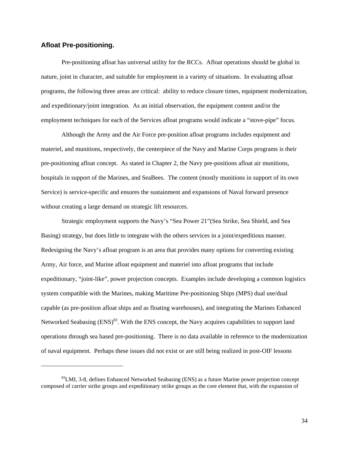### <span id="page-41-0"></span>**Afloat Pre-positioning.**

1

Pre-positioning afloat has universal utility for the RCCs. Afloat operations should be global in nature, joint in character, and suitable for employment in a variety of situations. In evaluating afloat programs, the following three areas are critical: ability to reduce closure times, equipment modernization, and expeditionary/joint integration. As an initial observation, the equipment content and/or the employment techniques for each of the Services afloat programs would indicate a "stove-pipe" focus.

Although the Army and the Air Force pre-position afloat programs includes equipment and materiel, and munitions, respectively, the centerpiece of the Navy and Marine Corps programs is their pre-positioning afloat concept. As stated in Chapter 2, the Navy pre-positions afloat air munitions, hospitals in support of the Marines, and SeaBees. The content (mostly munitions in support of its own Service) is service-specific and ensures the sustainment and expansions of Naval forward presence without creating a large demand on strategic lift resources.

Strategic employment supports the Navy's "Sea Power 21"(Sea Strike, Sea Shield, and Sea Basing) strategy, but does little to integrate with the others services in a joint/expeditious manner. Redesigning the Navy's afloat program is an area that provides many options for converting existing Army, Air force, and Marine afloat equipment and materiel into afloat programs that include expeditionary, "joint-like", power projection concepts. Examples include developing a common logistics system compatible with the Marines, making Maritime Pre-positioning Ships (MPS) dual use/dual capable (as pre-position afloat ships and as floating warehouses), and integrating the Marines Enhanced Networked Seabasing (ENS)<sup>83</sup>. With the ENS concept, the Navy acquires capabilities to support land operations through sea based pre-positioning. There is no data available in reference to the modernization of naval equipment. Perhaps these issues did not exist or are still being realized in post-OIF lessons

<span id="page-41-1"></span> ${}^{83}$ LMI, 3-8, defines Enhanced Networked Seabasing (ENS) as a future Marine power projection concept composed of carrier strike groups and expeditionary strike groups as the core element that, with the expansion of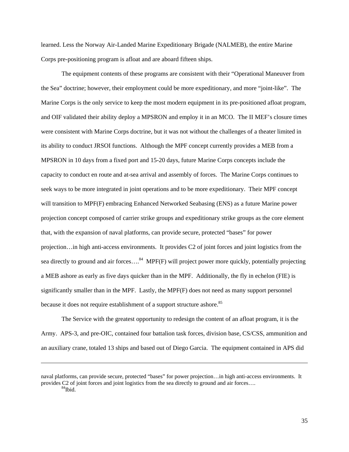learned. Less the Norway Air-Landed Marine Expeditionary Brigade (NALMEB), the entire Marine Corps pre-positioning program is afloat and are aboard fifteen ships.

The equipment contents of these programs are consistent with their "Operational Maneuver from the Sea" doctrine; however, their employment could be more expeditionary, and more "joint-like". The Marine Corps is the only service to keep the most modern equipment in its pre-positioned afloat program, and OIF validated their ability deploy a MPSRON and employ it in an MCO. The II MEF's closure times were consistent with Marine Corps doctrine, but it was not without the challenges of a theater limited in its ability to conduct JRSOI functions. Although the MPF concept currently provides a MEB from a MPSRON in 10 days from a fixed port and 15-20 days, future Marine Corps concepts include the capacity to conduct en route and at-sea arrival and assembly of forces. The Marine Corps continues to seek ways to be more integrated in joint operations and to be more expeditionary. Their MPF concept will transition to MPF(F) embracing Enhanced Networked Seabasing (ENS) as a future Marine power projection concept composed of carrier strike groups and expeditionary strike groups as the core element that, with the expansion of naval platforms, can provide secure, protected "bases" for power projection…in high anti-access environments. It provides C2 of joint forces and joint logistics from the sea directly to ground and air forces....<sup>84</sup> MPF(F) will project power more quickly, potentially projecting a MEB ashore as early as five days quicker than in the MPF. Additionally, the fly in echelon (FIE) is significantly smaller than in the MPF. Lastly, the MPF(F) does not need as many support personnel because it does not require establishment of a support structure ashore.<sup>[85](#page-42-1)</sup>

The Service with the greatest opportunity to redesign the content of an afloat program, it is the Army. APS-3, and pre-OIC, contained four battalion task forces, division base, CS/CSS, ammunition and an auxiliary crane, totaled 13 ships and based out of Diego Garcia. The equipment contained in APS did

1

<span id="page-42-1"></span><span id="page-42-0"></span>naval platforms, can provide secure, protected "bases" for power projection…in high anti-access environments. It provides C2 of joint forces and joint logistics from the sea directly to ground and air forces....<br><sup>84</sup>Ibid.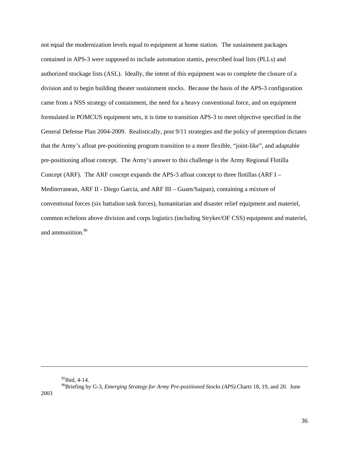not equal the modernization levels equal to equipment at home station. The sustainment packages contained in APS-3 were supposed to include automation stamis, prescribed load lists (PLLs) and authorized stockage lists (ASL). Ideally, the intent of this equipment was to complete the closure of a division and to begin building theater sustainment stocks. Because the basis of the APS-3 configuration came from a NSS strategy of containment, the need for a heavy conventional force, and on equipment formulated in POMCUS equipment sets, it is time to transition APS-3 to meet objective specified in the General Defense Plan 2004-2009. Realistically, post 9/11 strategies and the policy of preemption dictates that the Army's afloat pre-positioning program transition to a more flexible, "joint-like", and adaptable pre-positioning afloat concept. The Army's answer to this challenge is the Army Regional Flotilla Concept (ARF). The ARF concept expands the APS-3 afloat concept to three flotillas (ARF I – Mediterranean, ARF II - Diego Garcia, and ARF III – Guam/Saipan), containing a mixture of conventional forces (six battalion task forces), humanitarian and disaster relief equipment and materiel, common echelons above division and corps logistics (including Stryker/OF CSS) equipment and materiel, and ammunition.<sup>86</sup>

<span id="page-43-0"></span>

<sup>&</sup>lt;sup>85</sup>Ibid, 4-14.<br><sup>86</sup>Briefing by G-3, *Emerging Strategy for Army Pre-positioned Stocks (APS)*.Charts 18, 19, and 20. June 2003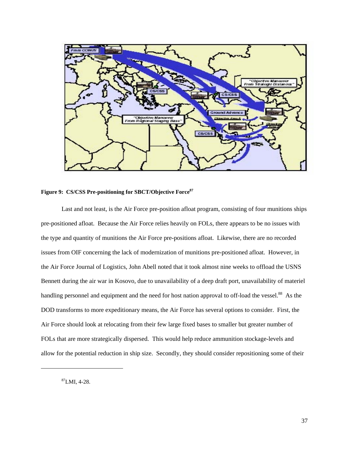<span id="page-44-0"></span>

**Figure 9: CS/CSS Pre-positioning for SBCT/Objective Force[87](#page-44-1)**

Last and not least, is the Air Force pre-position afloat program, consisting of four munitions ships pre-positioned afloat. Because the Air Force relies heavily on FOLs, there appears to be no issues with the type and quantity of munitions the Air Force pre-positions afloat. Likewise, there are no recorded issues from OIF concerning the lack of modernization of munitions pre-positioned afloat. However, in the Air Force Journal of Logistics, John Abell noted that it took almost nine weeks to offload the USNS Bennett during the air war in Kosovo, due to unavailability of a deep draft port, unavailability of materiel handling personnel and equipment and the need for host nation approval to off-load the vessel.<sup>88</sup> As the DOD transforms to more expeditionary means, the Air Force has several options to consider. First, the Air Force should look at relocating from their few large fixed bases to smaller but greater number of FOLs that are more strategically dispersed. This would help reduce ammunition stockage-levels and allow for the potential reduction in ship size. Secondly, they should consider repositioning some of their

<span id="page-44-2"></span><span id="page-44-1"></span> ${}^{87}$ LMI, 4-28.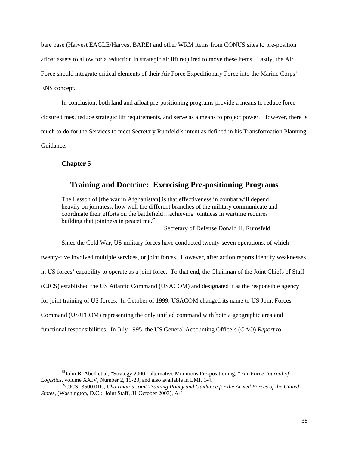<span id="page-45-0"></span>bare base (Harvest EAGLE/Harvest BARE) and other WRM items from CONUS sites to pre-position afloat assets to allow for a reduction in strategic air lift required to move these items. Lastly, the Air Force should integrate critical elements of their Air Force Expeditionary Force into the Marine Corps' ENS concept.

In conclusion, both land and afloat pre-positioning programs provide a means to reduce force closure times, reduce strategic lift requirements, and serve as a means to project power. However, there is much to do for the Services to meet Secretary Rumfeld's intent as defined in his Transformation Planning Guidance.

**Chapter 5** 

-

# **Training and Doctrine: Exercising Pre-positioning Programs**

The Lesson of [the war in Afghanistan] is that effectiveness in combat will depend heavily on jointness, how well the different branches of the military communicate and coordinate their efforts on the battlefield…achieving jointness in wartime requires building that jointness in peacetime.<sup>[89](#page-45-1)</sup>

Secretary of Defense Donald H. Rumsfeld

Since the Cold War, US military forces have conducted twenty-seven operations, of which twenty-five involved multiple services, or joint forces. However, after action reports identify weaknesses in US forces' capability to operate as a joint force. To that end, the Chairman of the Joint Chiefs of Staff (CJCS) established the US Atlantic Command (USACOM) and designated it as the responsible agency for joint training of US forces. In October of 1999, USACOM changed its name to US Joint Forces Command (USJFCOM) representing the only unified command with both a geographic area and

functional responsibilities. In July 1995, the US General Accounting Office's (GAO) *Report to* 

<sup>88</sup>John B. Abell et al, "Strategy 2000: alternative Munitions Pre-positioning, " *Air Force Journal of Logistics,* volume XXIV, Number 2, 19-20, and also available in LMI, 1-4.

<span id="page-45-1"></span><sup>89</sup>CJCSI 3500.01C, *Chairman's Joint Training Policy and Guidance for the Armed Forces of the United States*, (Washington, D.C.: Joint Staff, 31 October 2003), A-1.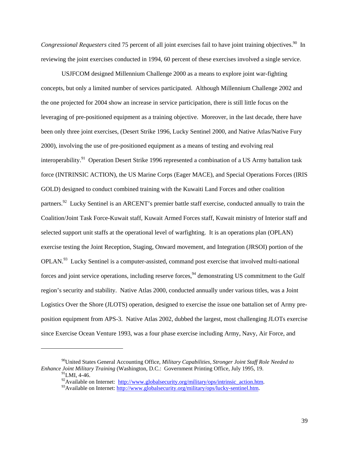*Congressional Requesters* cited 75 percent of all joint exercises fail to have joint training objectives.<sup>90</sup> In reviewing the joint exercises conducted in 1994, 60 percent of these exercises involved a single service.

USJFCOM designed Millennium Challenge 2000 as a means to explore joint war-fighting concepts, but only a limited number of services participated. Although Millennium Challenge 2002 and the one projected for 2004 show an increase in service participation, there is still little focus on the leveraging of pre-positioned equipment as a training objective. Moreover, in the last decade, there have been only three joint exercises, (Desert Strike 1996, Lucky Sentinel 2000, and Native Atlas/Native Fury 2000), involving the use of pre-positioned equipment as a means of testing and evolving real interoperability.<sup>91</sup> Operation Desert Strike 1996 represented a combination of a US Army battalion task force (INTRINSIC ACTION), the US Marine Corps (Eager MACE), and Special Operations Forces (IRIS GOLD) designed to conduct combined training with the Kuwaiti Land Forces and other coalition partners.<sup>92</sup> Lucky Sentinel is an ARCENT's premier battle staff exercise, conducted annually to train the Coalition/Joint Task Force-Kuwait staff, Kuwait Armed Forces staff, Kuwait ministry of Interior staff and selected support unit staffs at the operational level of warfighting. It is an operations plan (OPLAN) exercise testing the Joint Reception, Staging, Onward movement, and Integration (JRSOI) portion of the OPLAN.<sup>93</sup> Lucky Sentinel is a computer-assisted, command post exercise that involved multi-national forces and joint service operations, including reserve forces,<sup>94</sup> demonstrating US commitment to the Gulf region's security and stability. Native Atlas 2000, conducted annually under various titles, was a Joint Logistics Over the Shore (JLOTS) operation, designed to exercise the issue one battalion set of Army preposition equipment from APS-3. Native Atlas 2002, dubbed the largest, most challenging JLOTs exercise since Exercise Ocean Venture 1993, was a four phase exercise including Army, Navy, Air Force, and

1

<sup>90</sup>United States General Accounting Office, *Military Capabilities, Stronger Joint Staff Role Needed to Enhance Joint Military Training* (Washington, D.C.: Government Printing Office, July 1995, 19.<br><sup>91</sup>LMI, 4-46.<br><sup>92</sup>Available on Internet: http://www.globalsecurity.org/military/ops/intrinsic action.htm.

<span id="page-46-4"></span><span id="page-46-2"></span><span id="page-46-1"></span><span id="page-46-0"></span>

<span id="page-46-3"></span> $^{93}$ Available on Internet: [http://www.globalsecurity.org/military/ops/lucky-sentinel.htm.](http://www.globalsecurity.org/military/ops/lucky-sentinel.htm)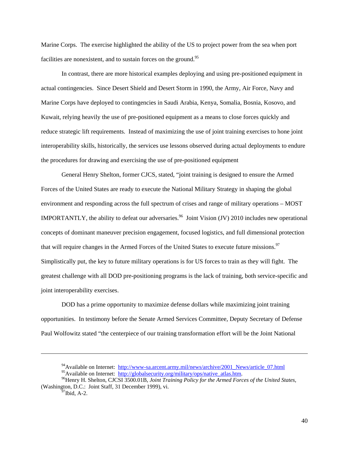Marine Corps. The exercise highlighted the ability of the US to project power from the sea when port facilities are nonexistent, and to sustain forces on the ground.<sup>[95](#page-47-0)</sup>

In contrast, there are more historical examples deploying and using pre-positioned equipment in actual contingencies. Since Desert Shield and Desert Storm in 1990, the Army, Air Force, Navy and Marine Corps have deployed to contingencies in Saudi Arabia, Kenya, Somalia, Bosnia, Kosovo, and Kuwait, relying heavily the use of pre-positioned equipment as a means to close forces quickly and reduce strategic lift requirements. Instead of maximizing the use of joint training exercises to hone joint interoperability skills, historically, the services use lessons observed during actual deployments to endure the procedures for drawing and exercising the use of pre-positioned equipment

General Henry Shelton, former CJCS, stated, "joint training is designed to ensure the Armed Forces of the United States are ready to execute the National Military Strategy in shaping the global environment and responding across the full spectrum of crises and range of military operations – MOST IMPORTANTLY, the ability to defeat our adversaries.<sup>96</sup> Joint Vision (JV) 2010 includes new operational concepts of dominant maneuver precision engagement, focused logistics, and full dimensional protection that will require changes in the Armed Forces of the United States to execute future missions.<sup>97</sup> Simplistically put, the key to future military operations is for US forces to train as they will fight. The greatest challenge with all DOD pre-positioning programs is the lack of training, both service-specific and joint interoperability exercises.

DOD has a prime opportunity to maximize defense dollars while maximizing joint training opportunities. In testimony before the Senate Armed Services Committee, Deputy Secretary of Defense Paul Wolfowitz stated "the centerpiece of our training transformation effort will be the Joint National

<sup>&</sup>lt;sup>94</sup>Available on Internet: [http://www-sa.arcent.army.mil/news/archive/2001\\_News/article\\_07.html](http://www-sa.arcent.army.mil/news/archive/2001_News/article_07.html)

<span id="page-47-1"></span><span id="page-47-0"></span>

<sup>&</sup>lt;sup>95</sup>Available on Internet: [http://globalsecurity.org/military/ops/native\\_atlas.htm](http://globalsecurity.org/military/ops/native_atlas.htm).<br><sup>96</sup>Henry H. Shelton, CJCSI 3500.01B, *Joint Training Policy for the Armed Forces of the United States*, (Washington, D.C.: Joint Staff, 31 December 1999), vi.<br><sup>97</sup>Ibid, A-2.

<span id="page-47-2"></span>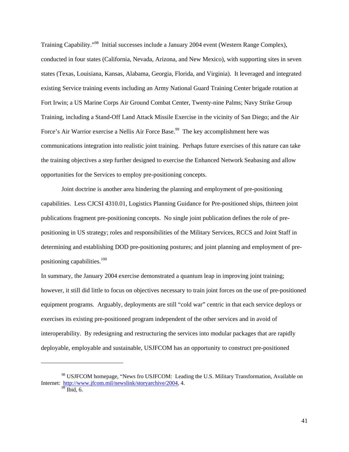Training Capability."<sup>98</sup> Initial successes include a January 2004 event (Western Range Complex), conducted in four states (California, Nevada, Arizona, and New Mexico), with supporting sites in seven states (Texas, Louisiana, Kansas, Alabama, Georgia, Florida, and Virginia). It leveraged and integrated existing Service training events including an Army National Guard Training Center brigade rotation at Fort Irwin; a US Marine Corps Air Ground Combat Center, Twenty-nine Palms; Navy Strike Group Training, including a Stand-Off Land Attack Missile Exercise in the vicinity of San Diego; and the Air Force's Air Warrior exercise a Nellis Air Force Base.<sup>99</sup> The key accomplishment here was communications integration into realistic joint training. Perhaps future exercises of this nature can take the training objectives a step further designed to exercise the Enhanced Network Seabasing and allow opportunities for the Services to employ pre-positioning concepts.

Joint doctrine is another area hindering the planning and employment of pre-positioning capabilities. Less CJCSI 4310.01, Logistics Planning Guidance for Pre-positioned ships, thirteen joint publications fragment pre-positioning concepts. No single joint publication defines the role of prepositioning in US strategy; roles and responsibilities of the Military Services, RCCS and Joint Staff in determining and establishing DOD pre-positioning postures; and joint planning and employment of prepositioning capabilities[.100](#page-48-2)

In summary, the January 2004 exercise demonstrated a quantum leap in improving joint training; however, it still did little to focus on objectives necessary to train joint forces on the use of pre-positioned equipment programs. Arguably, deployments are still "cold war" centric in that each service deploys or exercises its existing pre-positioned program independent of the other services and in avoid of interoperability. By redesigning and restructuring the services into modular packages that are rapidly deployable, employable and sustainable, USJFCOM has an opportunity to construct pre-positioned

1

<sup>98</sup> USJFCOM homepage, "News fro USJFCOM: Leading the U.S. Military Transformation, Available on Internet: [http://www.jfcom.mil/newslink/storyarchive/2004,](http://www.jfcom.mil/newslink/storyarchive/2004) 4.

<span id="page-48-2"></span><span id="page-48-1"></span><span id="page-48-0"></span>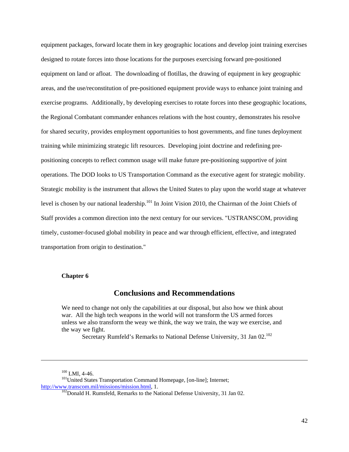<span id="page-49-0"></span>equipment packages, forward locate them in key geographic locations and develop joint training exercises designed to rotate forces into those locations for the purposes exercising forward pre-positioned equipment on land or afloat. The downloading of flotillas, the drawing of equipment in key geographic areas, and the use/reconstitution of pre-positioned equipment provide ways to enhance joint training and exercise programs. Additionally, by developing exercises to rotate forces into these geographic locations, the Regional Combatant commander enhances relations with the host country, demonstrates his resolve for shared security, provides employment opportunities to host governments, and fine tunes deployment training while minimizing strategic lift resources. Developing joint doctrine and redefining prepositioning concepts to reflect common usage will make future pre-positioning supportive of joint operations. The DOD looks to US Transportation Command as the executive agent for strategic mobility. Strategic mobility is the instrument that allows the United States to play upon the world stage at whatever level is chosen by our national leadership.<sup>101</sup> In Joint Vision 2010, the Chairman of the Joint Chiefs of Staff provides a common direction into the next century for our services. "USTRANSCOM, providing timely, customer-focused global mobility in peace and war through efficient, effective, and integrated transportation from origin to destination."

### **Chapter 6**

# **Conclusions and Recommendations**

We need to change not only the capabilities at our disposal, but also how we think about war. All the high tech weapons in the world will not transform the US armed forces unless we also transform the weay we think, the way we train, the way we exercise, and the way we fight.

Secretary Rumfeld's Remarks to National Defense University, 31 Jan 02.<sup>[102](#page-49-2)</sup>

<span id="page-49-1"></span>

<sup>&</sup>lt;sup>100</sup> LMI, 4-46.<br><sup>101</sup>United States Transportation Command Homepage, [on-line]; Internet; http://www.transcom.mil/missions/mission.html, 1.

<span id="page-49-2"></span> $102$  Donald H. Rumsfeld, Remarks to the National Defense University, 31 Jan 02.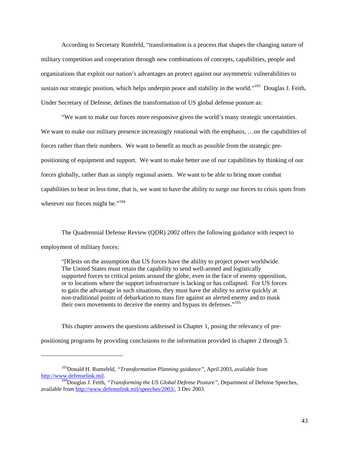According to Secretary Rumfeld, "transformation is a process that shapes the changing nature of military competition and cooperation through new combinations of concepts, capabilities, people and organizations that exploit our nation's advantages an protect against our asymmetric vulnerabilities to sustain our strategic position, which helps underpin peace and stability in the world."<sup>103</sup> Douglas J. Feith, Under Secretary of Defense, defines the transformation of US global defense posture as:

"We want to make our forces more responsive given the world's many strategic uncertainties. We want to make our military presence increasingly rotational with the emphasis, ...on the capabilities of forces rather than their numbers. We want to benefit as much as possible from the strategic prepositioning of equipment and support. We want to make better use of our capabilities by thinking of our forces globally, rather than as simply regional assets. We want to be able to bring more combat capabilities to bear in less time, that is, we want to have the ability to surge our forces to crisis spots from wherever our forces might be."<sup>104</sup>

The Quadrennial Defense Review (QDR) 2002 offers the following guidance with respect to employment of military forces:

"[R]ests on the assumption that US forces have the ability to project power worldwide. The United States must retain the capability to send well-armed and logistically supported forces to critical points around the globe, even in the face of enemy opposition, or to locations where the support infrastructure is lacking or has collapsed. For US forces to gain the advantage in such situations, they must have the ability to arrive quickly at non-traditional points of debarkation to mass fire against an alerted enemy and to mask their own movements to deceive the enemy and bypass its defenses." [105](#page-50-2)

This chapter answers the questions addressed in Chapter 1, posing the relevancy of prepositioning programs by providing conclusions to the information provided in chapter 2 through 5.

<span id="page-50-0"></span><sup>103</sup>Donald H. Rumsfeld, *"Transformation Planning guidance"*, April 2003, available from [http://www.defenselink.mil.](http://www.defenselink.mil/) [104](http://www.defenselink.mil/)Douglas J. Feith, *"Transforming the US Global Defense Posture"*, Department of Defense Speeches,

<span id="page-50-2"></span><span id="page-50-1"></span>available from [http://www.defenselink.mil/speeches/2003/,](http://www.defenselink.mil/speeches/2003/) 3 Dec 2003.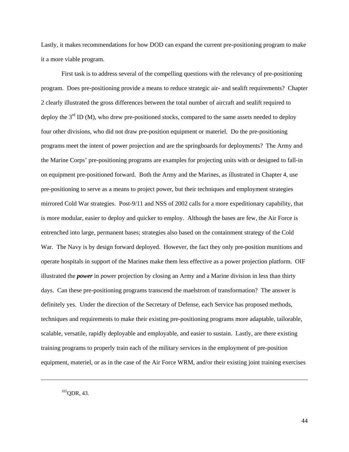Lastly, it makes recommendations for how DOD can expand the current pre-positioning program to make it a more viable program.

First task is to address several of the compelling questions with the relevancy of pre-positioning program. Does pre-positioning provide a means to reduce strategic air- and sealift requirements? Chapter 2 clearly illustrated the gross differences between the total number of aircraft and sealift required to deploy the  $3<sup>rd</sup>$  ID (M), who drew pre-positioned stocks, compared to the same assets needed to deploy four other divisions, who did not draw pre-position equipment or materiel. Do the pre-positioning programs meet the intent of power projection and are the springboards for deployments? The Army and the Marine Corps' pre-positioning programs are examples for projecting units with or designed to fall-in on equipment pre-positioned forward. Both the Army and the Marines, as illustrated in Chapter 4, use pre-positioning to serve as a means to project power, but their techniques and employment strategies mirrored Cold War strategies. Post-9/11 and NSS of 2002 calls for a more expeditionary capability, that is more modular, easier to deploy and quicker to employ. Although the bases are few, the Air Force is entrenched into large, permanent bases; strategies also based on the containment strategy of the Cold War. The Navy is by design forward deployed. However, the fact they only pre-position munitions and operate hospitals in support of the Marines make them less effective as a power projection platform. OIF illustrated the *power* in power projection by closing an Army and a Marine division in less than thirty days. Can these pre-positioning programs transcend the maelstrom of transformation? The answer is definitely yes. Under the direction of the Secretary of Defense, each Service has proposed methods, techniques and requirements to make their existing pre-positioning programs more adaptable, tailorable, scalable, versatile, rapidly deployable and employable, and easier to sustain. Lastly, are there existing training programs to properly train each of the military services in the employment of pre-position equipment, materiel, or as in the case of the Air Force WRM, and/or their existing joint training exercises

 $105$ ODR, 43.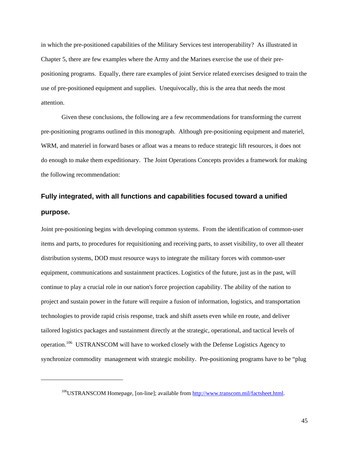<span id="page-52-0"></span>in which the pre-positioned capabilities of the Military Services test interoperability? As illustrated in Chapter 5, there are few examples where the Army and the Marines exercise the use of their prepositioning programs. Equally, there rare examples of joint Service related exercises designed to train the use of pre-positioned equipment and supplies. Unequivocally, this is the area that needs the most attention.

Given these conclusions, the following are a few recommendations for transforming the current pre-positioning programs outlined in this monograph. Although pre-positioning equipment and materiel, WRM, and materiel in forward bases or afloat was a means to reduce strategic lift resources, it does not do enough to make them expeditionary. The Joint Operations Concepts provides a framework for making the following recommendation:

# **Fully integrated, with all functions and capabilities focused toward a unified purpose.**

Joint pre-positioning begins with developing common systems. From the identification of common-user items and parts, to procedures for requisitioning and receiving parts, to asset visibility, to over all theater distribution systems, DOD must resource ways to integrate the military forces with common-user equipment, communications and sustainment practices. Logistics of the future, just as in the past, will continue to play a crucial role in our nation's force projection capability. The ability of the nation to project and sustain power in the future will require a fusion of information, logistics, and transportation technologies to provide rapid crisis response, track and shift assets even while en route, and deliver tailored logistics packages and sustainment directly at the strategic, operational, and tactical levels of operation.<sup>106</sup> USTRANSCOM will have to worked closely with the Defense Logistics Agency to synchronize commodity management with strategic mobility. Pre-positioning programs have to be "plug

 $\overline{\phantom{a}}$ 

<span id="page-52-1"></span><sup>&</sup>lt;sup>106</sup>USTRANSCOM Homepage, [on-line]; available from [http://www.transcom.mil/factsheet.html](http://www.transcom.mil/factsheet.html;).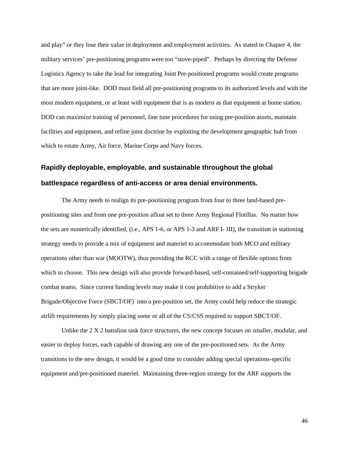<span id="page-53-0"></span>and play" or they lose their value in deployment and employment activities. As stated in Chapter 4, the military services' pre-positioning programs were too "stove-piped". Perhaps by directing the Defense Logistics Agency to take the lead for integrating Joint Pre-positioned programs would create programs that are more joint-like. DOD must field all pre-positioning programs to its authorized levels and with the most modern equipment, or at least with equipment that is as modern as that equipment at home station. DOD can maximize training of personnel, fine tune procedures for using pre-position assets, maintain facilities and equipment, and refine joint doctrine by exploiting the development geographic hub from which to rotate Army, Air force, Marine Corps and Navy forces.

# **Rapidly deployable, employable, and sustainable throughout the global battlespace regardless of anti-access or area denial environments.**

The Army needs to realign its pre-positioning program from four to three land-based prepositioning sites and from one pre-position afloat set to three Army Regional Flotillas. No matter how the sets are numerically identified, (i.e., APS 1-6, or APS 1-3 and ARF I- III), the transition in stationing strategy needs to provide a mix of equipment and materiel to accommodate both MCO and military operations other than war (MOOTW), thus providing the RCC with a range of flexible options from which to choose. This new design will also provide forward-based, self-contained/self-supporting brigade combat teams. Since current funding levels may make it cost prohibitive to add a Stryker Brigade/Objective Force (SBCT/OF) into a pre-position set, the Army could help reduce the strategic airlift requirements by simply placing some or all of the CS/CSS required to support SBCT/OF.

Unlike the  $2 X 2$  battalion task force structures, the new concept focuses on smaller, modular, and easier to deploy forces, each capable of drawing any one of the pre-positioned sets. As the Army transitions to the new design, it would be a good time to consider adding special operations-specific equipment and/pre-positioned materiel. Maintaining three-region strategy for the ARF supports the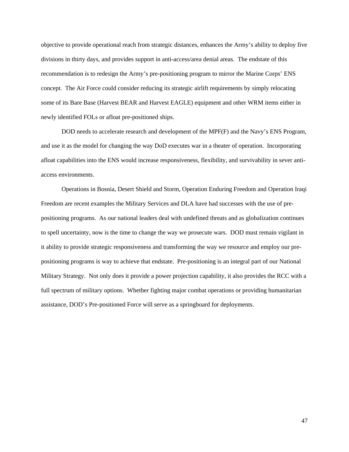objective to provide operational reach from strategic distances, enhances the Army's ability to deploy five divisions in thirty days, and provides support in anti-access/area denial areas. The endstate of this recommendation is to redesign the Army's pre-positioning program to mirror the Marine Corps' ENS concept. The Air Force could consider reducing its strategic airlift requirements by simply relocating some of its Bare Base (Harvest BEAR and Harvest EAGLE) equipment and other WRM items either in newly identified FOLs or afloat pre-positioned ships.

DOD needs to accelerate research and development of the MPF(F) and the Navy's ENS Program, and use it as the model for changing the way DoD executes war in a theater of operation. Incorporating afloat capabilities into the ENS would increase responsiveness, flexibility, and survivability in sever antiaccess environments.

Operations in Bosnia, Desert Shield and Storm, Operation Enduring Freedom and Operation Iraqi Freedom are recent examples the Military Services and DLA have had successes with the use of prepositioning programs. As our national leaders deal with undefined threats and as globalization continues to spell uncertainty, now is the time to change the way we prosecute wars. DOD must remain vigilant in it ability to provide strategic responsiveness and transforming the way we resource and employ our prepositioning programs is way to achieve that endstate. Pre-positioning is an integral part of our National Military Strategy. Not only does it provide a power projection capability, it also provides the RCC with a full spectrum of military options. Whether fighting major combat operations or providing humanitarian assistance, DOD's Pre-positioned Force will serve as a springboard for deployments.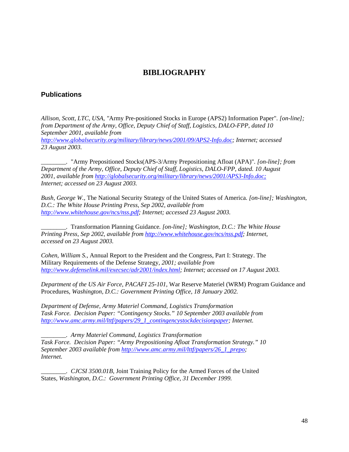# **BIBLIOGRAPHY**

# **Publications**

*Allison, Scott, LTC, USA, "*Army Pre-positioned Stocks in Europe (APS2) Information Paper"*. [on-line]; from Department of the Army, Office, Deputy Chief of Staff, Logistics, DALO-FPP, dated 10 September 2001, available from [http://www.globalsecurity.org/military/library/news/2001/09/APS2-Info.doc;](http://www.globalsecurity.org/military/library/news/2001/09/APS2-Info.doc) Internet; accessed 23 August 2003.* 

*\_\_\_\_\_\_\_\_.* "Army Prepositioned Stocks(APS-3/Army Prepositioning Afloat (APA)"*. [on-line]; from Department of the Army, Office, Deputy Chief of Staff, Logistics, DALO-FPP, dated. 10 August 2001, available from <http://globalsecurity.org/military/library/news/2001/APS3-Info.doc;> Internet; accessed on 23 August 2003.* 

*Bush, George W.,* The National Security Strategy of the United States of America*. [on-line]; Washington, D.C.: The White House Printing Press, Sep 2002, available from <http://www.whitehouse.gov/ncs/nss.pdf>; Internet; accessed 23 August 2003.* 

*\_\_\_\_\_\_\_\_.* Transformation Planning Guidance*. [on-line]; Washington, D.C.: The White House Printing Press, Sep 2002, available from <http://www.whitehouse.gov/ncs/nss.pdf>; Internet, accessed on 23 August 2003.* 

*Cohen, William S.,* Annual Report to the President and the Congress, Part I: Strategy. The Military Requirements of the Defense Strategy*, 2001; available from <http://www.defenselink.mil/execsec/adr2001/index.html>; Internet; accessed on 17 August 2003.* 

*Department of the US Air Force, PACAFI 25-101,* War Reserve Materiel (WRM) Program Guidance and Procedures*, Washington, D.C.: Government Printing Office, 18 January 2002.* 

*Department of Defense, Army Materiel Command, Logistics Transformation Task Force. Decision Paper: "Contingency Stocks." 10 September 2003 available from [http://www.amc.army.mil/lttf/papers/29\\_1\\_contingencystockdecisionpaper;](http://www.amc.army.mil/lttf/papers/29_1_contingencystockdecisionpaper) Internet.* 

*\_\_\_\_\_\_\_\_. Army Materiel Command, Logistics Transformation Task Force. Decision Paper: "Army Prepositioning Afloat Transformation Strategy." 10 September 2003 available from [http://www.amc.army.mil/lttf/papers/26\\_1\\_prepo;](http://www.amc.army.mil/lttf/papers/26_1_prepo) Internet.* 

*\_\_\_\_\_\_\_\_. CJCSI 3500.01B,* Joint Training Policy for the Armed Forces of the United States*, Washington, D.C.: Government Printing Office, 31 December 1999.*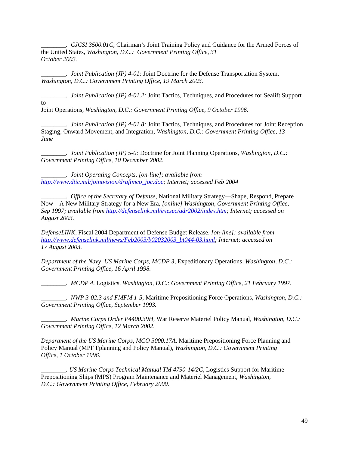*\_\_\_\_\_\_\_\_. CJCSI 3500.01C,* Chairman's Joint Training Policy and Guidance for the Armed Forces of the United States*, Washington, D.C.: Government Printing Office, 31 October 2003.* 

*Joint Publication (JP) 4-01: Joint Doctrine for the Defense Transportation System, Washington, D.C.: Government Printing Office, 19 March 2003.* 

*\_\_\_\_\_\_\_\_. Joint Publication (JP) 4-01.2:* Joint Tactics, Techniques, and Procedures for Sealift Support to Joint Operations*, Washington, D.C.: Government Printing Office, 9 October 1996.* 

*\_\_\_\_\_\_\_\_. Joint Publication (JP) 4-01.8:* Joint Tactics, Techniques, and Procedures for Joint Reception Staging, Onward Movement, and Integration*, Washington, D.C.: Government Printing Office, 13 June* 

*\_\_\_\_\_\_\_\_. Joint Publication (JP) 5-0:* Doctrine for Joint Planning Operations*, Washington, D.C.: Government Printing Office, 10 December 2002.* 

*\_\_\_\_\_\_\_\_. Joint Operating Concepts, [on-line]; available from [http://www.dtic.mil/jointvision/draftmco\\_joc.doc;](http://www.dtic.mil/jointvision/draftmco_joc.doc) Internet; accessed Feb 2004* 

*\_\_\_\_\_\_\_\_. Office of the Secretary of Defense,* National Military Strategy—Shape, Respond, Prepare Now—A New Military Strategy for a New Era*, [online] Washington, Government Printing Office, Sep 1997; available from [http://defenselink.mil/exesec/adr2002/index.htm;](http://defenselink.mil/exesec/adr2002/index.htm) Internet; accessed on August 2003.*

*DefenseLINK,* Fiscal 2004 Department of Defense Budget Release. *[on-line]; available from [http://www.defenselink.mil/news/Feb2003/b02032003\\_bt044-03.html](http://www.defenselink.mil/news/Feb2003/b02032003_bt044-03.html); Internet; accessed on 17 August 2003.* 

*Department of the Navy, US Marine Corps, MCDP 3,* Expeditionary Operations*, Washington, D.C.: Government Printing Office, 16 April 1998.* 

*\_\_\_\_\_\_\_\_. MCDP 4,* Logistics*, Washington, D.C.: Government Printing Office, 21 February 1997.* 

*\_\_\_\_\_\_\_\_. NWP 3-02.3 and FMFM 1-5,* Maritime Prepositioning Force Operations*, Washington, D.C.: Government Printing Office, September 1993.* 

*\_\_\_\_\_\_\_\_. Marine Corps Order P4400.39H,* War Reserve Materiel Policy Manual*, Washington, D.C.: Government Printing Office, 12 March 2002.* 

*Department of the US Marine Corps, MCO 3000.17A,* Maritime Prepositioning Force Planning and Policy Manual (MPF Fplanning and Policy Manual)*, Washington, D.C.: Government Printing Office, 1 October 1996.* 

*\_\_\_\_\_\_\_\_. US Marine Corps Technical Manual TM 4790-14/2C*, Logistics Support for Maritime Prepositioning Ships (MPS) Program Maintenance and Materiel Management*, Washington, D.C.: Government Printing Office, February 2000.*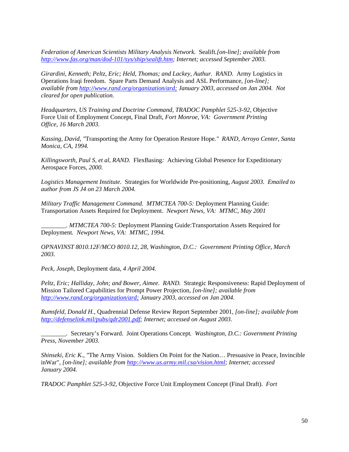*Federation of American Scientists Military Analysis Network.* Sealift*.[on-line]; available from <http://www.fas.org/man/dod-101/sys/ship/sealift.htm>; Internet; accessed September 2003.* 

*Girardini, Kenneth; Peltz, Eric; Held, Thomas; and Lackey, Authur. RAND.* Army Logistics in Operations Iraqi freedom. Spare Parts Demand Analysis and ASL Performance*, [on-line]; available from <http://www.rand.org/organization/ard;>January 2003, accessed on Jan 2004. Not cleared for open publication.* 

*Headquarters, US Training and Doctrine Command, TRADOC Pamphlet 525-3-92,* Objective Force Unit of Employment Concept, Final Draft, *Fort Monroe, VA: Government Printing Office, 16 March 2003.* 

*Kassing, David, "*Transporting the Army for Operation Restore Hope*." RAND, Arroyo Center, Santa Monica, CA, 1994.* 

*Killingsworth, Paul S, et al, RAND.* FlexBasing*:* Achieving Global Presence for Expeditionary Aerospace Forces, *2000.* 

*Logistics Management Institute.* Strategies for Worldwide Pre-positioning*, August 2003. Emailed to author from JS J4 on 23 March 2004.* 

*Military Traffic Management Command. MTMCTEA 700-5:* Deployment Planning Guide: Transportation Assets Required for Deployment. *Newport News, VA: MTMC, May 2001* 

*\_\_\_\_\_\_\_\_. MTMCTEA 700-5:* Deployment Planning Guide:Transportation Assets Required for Deployment*. Newport News, VA: MTMC, 1994.* 

*OPNAVINST 8010.12F/MCO 8010.12, 28, Washington, D.C.: Government Printing Office, March 2003.* 

*Peck, Joseph,* Deployment data, *4 April 2004.* 

*Peltz, Eric; Halliday, John; and Bower, Aimee. RAND.* Strategic Responsiveness: Rapid Deployment of Mission Tailored Capabilities for Prompt Power Projection*, [on-line]; available from <http://www.rand.org/organization/ard;>January 2003, accessed on Jan 2004.* 

*Rumsfeld, Donald H.,* Quadrennial Defense Review Report September 2001*, [on-line]; available from <http://defenselink.mil/pubs/qdr2001.pdf>; Internet; accessed on August 2003.* 

*\_\_\_\_\_\_\_\_.* Secretary's Forward. Joint Operations Concept*. Washington, D.C.: Government Printing Press, November 2003.* 

*Shinseki, Eric K., "*The Army Vision. Soldiers On Point for the Nation… Presuasive in Peace, Invincible inWar"*, [on-line]; available from <http://www.us.army.mil.csa/vision.html>; Internet; accessed January 2004.*

*TRADOC Pamphlet 525-3-92,* Objective Force Unit Employment Concept (Final Draft). *Fort*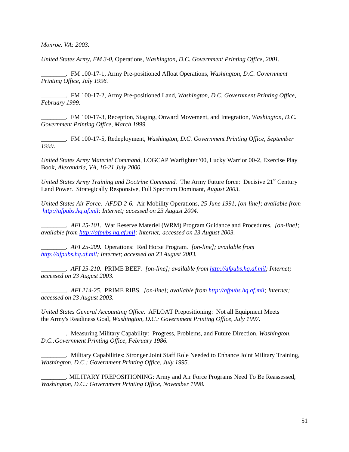*Monroe. VA: 2003.* 

*United States Army, FM 3-0,* Operations*, Washington, D.C. Government Printing Office, 2001.* 

*\_\_\_\_\_\_\_\_.* FM 100-17-1, Army Pre-positioned Afloat Operations*, Washington, D.C. Government Printing Office, July 1996.*

*\_\_\_\_\_\_\_\_.* FM 100-17-2*,* Army Pre-positioned Land, *Washington, D.C. Government Printing Office, February 1999.* 

*\_\_\_\_\_\_\_\_.* FM 100-17-3*,* Reception, Staging, Onward Movement, and Integration*, Washington, D.C. Government Printing Office, March 1999.* 

*\_\_\_\_\_\_\_\_.* FM 100-17-5*,* Redeployment*, Washington, D.C. Government Printing Office, September 1999.* 

*United States Army Materiel Command,* LOGCAP Warfighter '00, Lucky Warrior 00-2, Exercise Play Book, *Alexandria, VA, 16-21 July 2000.*

*United States Army Training and Doctrine Command.* The Army Future force: Decisive 21<sup>st</sup> Century Land Power. Strategically Responsive, Full Spectrum Dominant, *August 2003.*

*United States Air Force. AFDD 2-6.* Air Mobility Operations, *25 June 1991, [on-line]; available from [http://afpubs.hq.af.mil;](http://afpubs.hq.af.mil/) Internet; accessed on 23 August 2004.* 

*\_\_\_\_\_\_\_\_. AFI 25-101.* War Reserve Materiel (WRM) Program Guidance and Procedures*. [on-line]; available from [http://afpubs.hq.af.mil](http://afpubs.hq.af.mil/); Internet; accessed on 23 August 2003.* 

*\_\_\_\_\_\_\_\_. AFI 25-209.* Operations: Red Horse Program*. [on-line]; available from [http://afpubs.hq.af.mil](http://afpubs.hq.af.mil/); Internet; accessed on 23 August 2003.* 

*\_\_\_\_\_\_\_\_. AFI 25-210.* PRIME BEEF*. [on-line]; available from [http://afpubs.hq.af.mil;](http://afpubs.hq.af.mil/) Internet; accessed on 23 August 2003.* 

*\_\_\_\_\_\_\_\_. AFI 214-25.* PRIME RIBS*. [on-line]; available from [http://afpubs.hq.af.mil](http://afpubs.hq.af.mil/); Internet; accessed on 23 August 2003.* 

*United States General Accounting Office.* AFLOAT Prepositioning: Not all Equipment Meets the Army's Readiness Goal, *Washington, D.C.: Government Printing Office, July 1997.* 

*\_\_\_\_\_\_\_\_.* Measuring Military Capability: Progress, Problems, and Future Direction*, Washington, D.C.:Government Printing Office, February 1986.*

*\_\_\_\_\_\_\_\_.* Military Capabilities: Stronger Joint Staff Role Needed to Enhance Joint Military Training*, Washington, D.C.: Government Printing Office, July 1995.* 

*\_\_\_\_\_\_\_\_.* MILITARY PREPOSITIONING: Army and Air Force Programs Need To Be Reassessed*, Washington, D.C.: Government Printing Office, November 1998.*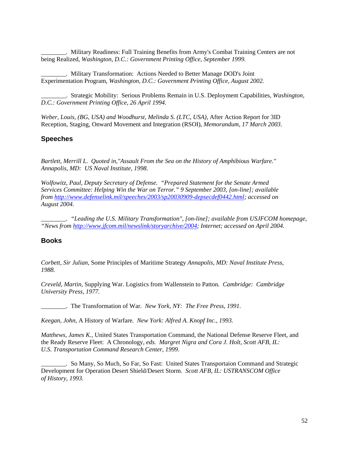*\_\_\_\_\_\_\_\_.* Military Readiness: Full Training Benefits from Army's Combat Training Centers are not being Realized*, Washington, D.C.: Government Printing Office, September 1999.* 

*\_\_\_\_\_\_\_\_.* Military Transformation: Actions Needed to Better Manage DOD's Joint Experimentation Program, *Washington, D.C.: Government Printing Office, August 2002.* 

\_\_\_\_\_\_\_\_. Strategic Mobility: Serious Problems Remain in U.S. Deployment Capabilities, *Washington, D.C.: Government Printing Office, 26 April 1994.* 

*Weber, Louis, (BG, USA) and Woodhurst, Melinda S. (LTC, USA),* After Action Report for 3ID Reception, Staging, Onward Movement and Integration (RSOI), *Memorandum, 17 March 2003*.

### **Speeches**

*Bartlett, Merrill L. Quoted in,"Assault From the Sea on the History of Amphibious Warfare." Annapolis, MD: US Naval Institute, 1998.* 

*Wolfowitz, Paul, Deputy Secretary of Defense. "Prepared Statement for the Senate Armed Services Committee: Helping Win the War on Terror." 9 September 2003, [on-line]; available from [http://www.defenselink.mil/speeches/2003/sp20030909-depsecdef0442.html;](http://www.defenselink.mil/speeches/2003/sp20030909-depsecdef0442.html) accessed on August 2004.*

*\_\_\_\_\_\_\_\_. "Leading the U.S. Military Transformation", [on-line]; available from USJFCOM homepage, "News from [http://www.jfcom.mil/newslink/storyarchive/2004;](http://www.jfcom.mil/newslink/storyarchive/2004) Internet; accessed on April 2004.* 

#### **Books**

*Corbett, Sir Julian,* Some Principles of Maritime Strategy *Annapolis, MD: Naval Institute Press, 1988.* 

*Creveld, Martin,* Supplying War. Logistics from Wallenstein to Patton*. Cambridge: Cambridge University Press, 1977.* 

*\_\_\_\_\_\_\_\_.* The Transformation of War*. New York, NY: The Free Press, 1991.* 

*Keegan, John,* A History of Warfare*. New York: Alfred A. Knopf Inc., 1993.* 

*Matthews, James K.,* United States Transportation Command, the National Defense Reserve Fleet, and the Ready Reserve Fleet: A Chronology*, eds. Margret Nigra and Cora J. Holt, Scott AFB, IL: U.S. Transportation Command Research Center, 1999.* 

*\_\_\_\_\_\_\_\_.* So Many, So Much, So Far, So Fast: United States Transportaion Command and Strategic Development for Operation Desert Shield/Desert Storm. *Scott AFB, IL: USTRANSCOM Office of History, 1993.*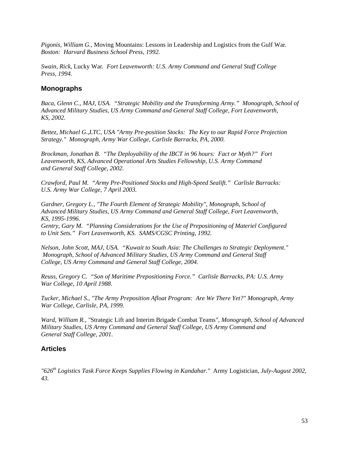*Pigonis, William G.,* Moving Mountains: Lessons in Leadership and Logistics from the Gulf War*. Boston: Harvard Business School Press, 1992.* 

*Swain, Rick,* Lucky War*. Fort Leavenworth: U.S. Army Command and General Staff College Press, 1994.* 

# **Monographs**

*Baca, Glenn C., MAJ, USA. "Strategic Mobility and the Transforming Army." Monograph, School of Advanced Military Studies, US Army Command and General Staff College, Fort Leavenworth, KS, 2002.* 

*Bettez, Michael G.,LTC, USA "Army Pre-position Stocks: The Key to our Rapid Force Projection Strategy." Monograph, Army War College, Carlisle Barracks, PA, 2000.* 

*Brockman, Jonathan B. "The Deployability of the IBCT in 96 hours: Fact or Myth?" Fort Leavenworth, KS, Advanced Operational Arts Studies Fellowship, U.S. Army Command and General Staff College, 2002.* 

*Crawford, Paul M. "Army Pre-Positioned Stocks and High-Speed Sealift." Carlisle Barracks: U.S. Army War College, 7 April 2003.* 

*Gardner, Gregory L., "The Fourth Element of Strategic Mobility", Monograph, School of Advanced Military Studies, US Army Command and General Staff College, Fort Leavenworth, KS, 1995-1996.* 

*Gentry, Gary M. "Planning Considerations for the Use of Prepositioning of Materiel Configured to Unit Sets." Fort Leavenworth, KS. SAMS/CGSC Printing, 1992.* 

*Nelson, John Scott, MAJ, USA. "Kuwait to South Asia: The Challenges to Strategic Deployment." Monograph, School of Advanced Military Studies, US Army Command and General Staff College, US Army Command and General Staff College, 2004.* 

*Reuss, Gregory C. "Son of Maritime Prepositioning Force." Carlisle Barracks, PA: U.S. Army War College, 10 April 1988.* 

*Tucker, Michael S., "The Army Preposition Afloat Program: Are We There Yet?" Monograph, Army War College, Carlisle, PA, 1999.* 

*Ward, William R., "*Strategic Lift and Interim Brigade Combat Teams*", Monograph, School of Advanced Military Studies, US Army Command and General Staff College, US Army Command and General Staff College, 2001.* 

# **Articles**

*"626th Logistics Task Force Keeps Supplies Flowing in Kandahar."* Army Logistician*, July-August 2002, 43.*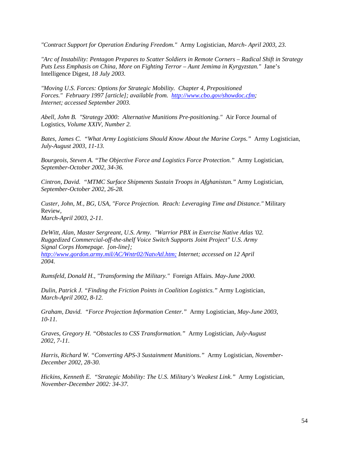*"Contract Support for Operation Enduring Freedom."* Army Logistician*, March- April 2003, 23.* 

*"Arc of Instability: Pentagon Prepares to Scatter Soldiers in Remote Corners – Radical Shift in Strategy Puts Less Emphasis on China, More on Fighting Terror – Aunt Jemima in Kyrgyzstan."* Jane's Intelligence Digest*, 18 July 2003.* 

*"Moving U.S. Forces: Options for Strategic Mobility. Chapter 4, Prepositioned Forces." February 1997 [article]; available from. <http://www.cbo.gov/showdoc.cfm>; Internet; accessed September 2003.* 

*Abell, John B. "Strategy 2000: Alternative Munitions Pre-positioning."* Air Force Journal of Logistics*, Volume XXIV, Number 2.* 

*Bates, James C. "What Army Logisticians Should Know About the Marine Corps."* Army Logistician*, July-August 2003, 11-13.* 

*Bourgeois, Steven A. "The Objective Force and Logistics Force Protection."* Army Logistician*, September-October 2002, 34-36.* 

*Cintron, David. "MTMC Surface Shipments Sustain Troops in Afghanistan."* Army Logistician*, September-October 2002, 26-28.* 

*Custer, John, M., BG, USA, "Force Projection. Reach: Leveraging Time and Distance."* Military Review*, March-April 2003, 2-11.* 

*DeWitt, Alan, Master Sergreant, U.S. Army. "Warrior PBX in Exercise Native Atlas '02. Ruggedized Commercial-off-the-shelf Voice Switch Supports Joint Project" U.S. Army Signal Corps Homepage. [on-line]; <http://www.gordon.army.mil/AC/Wntr02/NatvAtl.htm;> Internet; accessed on 12 April 2004.* 

*Rumsfeld, Donald H., "Transforming the Military."* Foreign Affairs*. May-June 2000.* 

*Dulin, Patrick J. "Finding the Friction Points in Coalition Logistics."* Army Logistician*, March-April 2002, 8-12.* 

*Graham, David. "Force Projection Information Center."* Army Logistician*, May-June 2003, 10-11.* 

*Graves, Gregory H. "Obstacles to CSS Transformation."* Army Logistician*, July-August 2002, 7-11.* 

*Harris, Richard W. "Converting APS-3 Sustainment Munitions."* Army Logistician*, November-December 2002, 28-30.* 

*Hickins, Kenneth E. "Strategic Mobility: The U.S. Military's Weakest Link."* Army Logistician*, November-December 2002: 34-37.*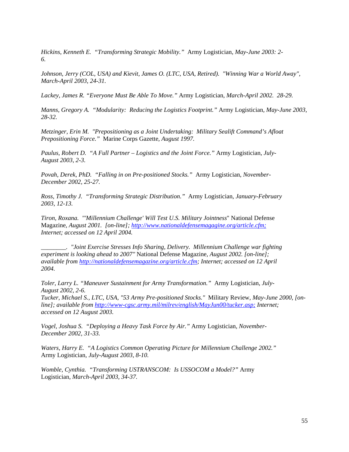*Hickins, Kenneth E. "Transforming Strategic Mobility."* Army Logistician*, May-June 2003: 2- 6.* 

*Johnson, Jerry (COL, USA) and Kievit, James O. (LTC, USA, Retired). "Winning War a World Away", March-April 2003, 24-31.*

*Lackey, James R. "Everyone Must Be Able To Move."* Army Logistician*, March-April 2002. 28-29.* 

*Manns, Gregory A. "Modularity: Reducing the Logistics Footprint."* Army Logistician*, May-June 2003, 28-32.* 

*Metzinger, Erin M. "Prepositioning as a Joint Undertaking: Military Sealift Command's Afloat Prepositioning Force."* Marine Corps Gazette*, August 1997.* 

*Paulus, Robert D. "A Full Partner – Logistics and the Joint Force."* Army Logistician*, July-August 2003, 2-3.* 

*Povah, Derek, PhD. "Falling in on Pre-positioned Stocks."* Army Logistician*, November-December 2002, 25-27.* 

*Ross, Timothy J. "Transforming Strategic Distribution."* Army Logistician*, January-February 2003, 12-13.*

*Tiron, Roxana. "'Millennium Challenge' Will Test U.S. Military Jointness*" National Defense Magazine*, August 2001. [on-line]; <http://www.nationaldefensemagagine.org/article.cfm;> Internet; accessed on 12 April 2004.* 

*\_\_\_\_\_\_\_\_. "Joint Exercise Stresses Info Sharing, Delivery. Millennium Challenge war fighting experiment is looking ahead to 2007"* National Defense Magazine*, August 2002. [on-line]; available from [http://nationaldefensemagazine.org/article.cfm](http://www.jfcom.mil/about/History/abthist1.htm;); Internet; accessed on 12 April 2004.* 

*Toler, Larry L. "Maneuver Sustainment for Army Transformation."* Army Logistician*, July-August 2002, 2-6.* 

*Tucker, Michael S., LTC, USA, "53 Army Pre-positioned Stocks."* Military Review*, May-June 2000, [online]; available from<http://www-cgsc.army.mil/milrev/english/MayJun00/tucker.asp;> Internet; accessed on 12 August 2003.* 

*Vogel, Joshua S. "Deploying a Heavy Task Force by Air."* Army Logistician*, November-December 2002, 31-33.* 

*Waters, Harry E. "A Logistics Common Operating Picture for Millennium Challenge 2002."*  Army Logistician*, July-August 2003, 8-10.* 

*Womble, Cynthia. "Transforming USTRANSCOM: Is USSOCOM a Model?"* Army Logistician*, March-April 2003, 34-37.*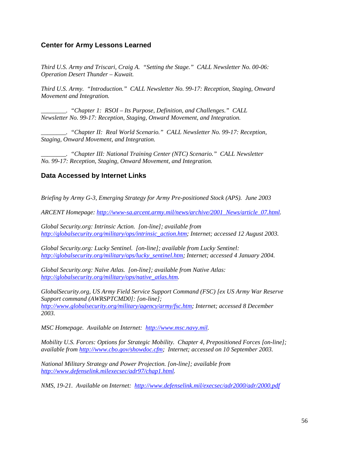# **Center for Army Lessons Learned**

*Third U.S. Army and Triscari, Craig A. "Setting the Stage." CALL Newsletter No. 00-06: Operation Desert Thunder – Kuwait.* 

*Third U.S. Army. "Introduction." CALL Newsletter No. 99-17: Reception, Staging, Onward Movement and Integration.*

*\_\_\_\_\_\_\_\_. "Chapter 1: RSOI – Its Purpose, Definition, and Challenges." CALL Newsletter No. 99-17: Reception, Staging, Onward Movement, and Integration.* 

*\_\_\_\_\_\_\_\_. "Chapter II: Real World Scenario." CALL Newsletter No. 99-17: Reception, Staging, Onward Movement, and Integration.* 

*\_\_\_\_\_\_\_\_. "Chapter III: National Training Center (NTC) Scenario." CALL Newsletter No. 99-17: Reception, Staging, Onward Movement, and Integration.* 

# **Data Accessed by Internet Links**

*Briefing by Army G-3, Emerging Strategy for Army Pre-positioned Stock (APS). June 2003* 

*ARCENT Homepage: [http://www-sa.arcent.army.mil/news/archive/2001\\_News/article\\_07.html](http://www-sa.arcent.army.mil/news/archive/2001_News/article_07.html).* 

*Global Security.org: Intrinsic Action. [on-line]; available from [http://globalsecurity.org/military/ops/intrinsic\\_action.htm](http://globalsecurity.org/military/ops/intrinsic_action.htm); Internet; accessed 12 August 2003.* 

*Global Security.org: Lucky Sentinel. [on-line]; available from Lucky Sentinel: [http://globalsecurity.org/military/ops/lucky\\_sentinel.htm](http://globalsecurity.org/military/ops/lucky_sentinel.htm); Internet; accessed 4 January 2004.* 

*Global Security.org: Naïve Atlas. [on-line]; available from Native Atlas: [http://globalsecurity.org/military/ops/native\\_atlas.htm](http://globalsecurity.org/military/ops/native_atlas.htm).* 

*GlobalSecurity.org, US Army Field Service Support Command (FSC) [ex US Army War Reserve Support command (AWRSPTCMD0]: [on-line]; [http://www.globalsecurity.org/military/agency/army/fsc.htm;](http://www.globalsecurity.org/military/agency/army/fsc.htm) Internet; accessed 8 December 2003.* 

*MSC Homepage. Available on Internet: [http://www.msc.navy.mil](http://www.msc.navy.mil/).* 

*Mobility U.S. Forces: Options for Strategic Mobility. Chapter 4, Prepositioned Forces [on-line]; available from [http://www.cbo.gov/showdoc.cfm;](http://www.cbo.gov/showdoc.cfm) Internet; accessed on 10 September 2003.* 

*National Military Strategy and Power Projection. [on-line]; available from <http://www.defenselink.milexecsec/adr97/chap1.html>.* 

*NMS, 19-21. Available on Internet: <http://www.defenselink.mil/execsec/adr2000/adr/2000.pdf>*